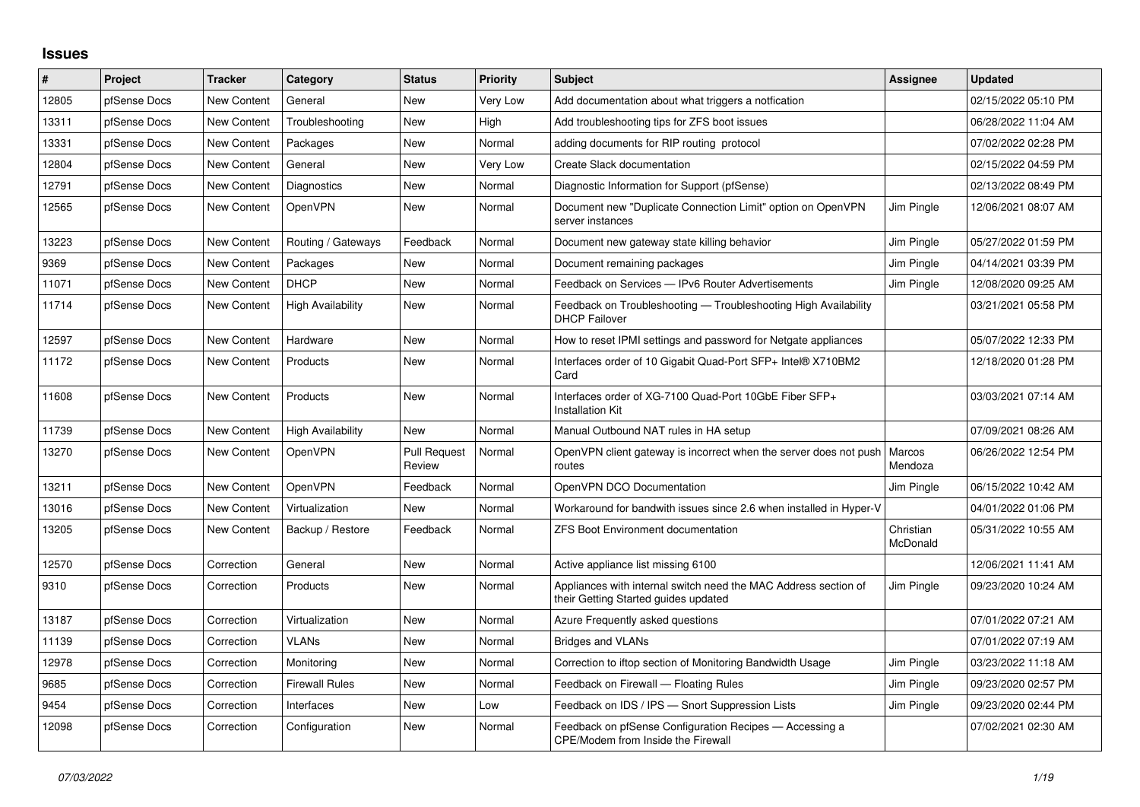## **Issues**

| $\sharp$ | Project      | <b>Tracker</b>     | Category                 | <b>Status</b>                 | <b>Priority</b> | <b>Subject</b>                                                                                          | <b>Assignee</b>       | <b>Updated</b>      |
|----------|--------------|--------------------|--------------------------|-------------------------------|-----------------|---------------------------------------------------------------------------------------------------------|-----------------------|---------------------|
| 12805    | pfSense Docs | New Content        | General                  | <b>New</b>                    | Very Low        | Add documentation about what triggers a notfication                                                     |                       | 02/15/2022 05:10 PM |
| 13311    | pfSense Docs | New Content        | Troubleshooting          | New                           | High            | Add troubleshooting tips for ZFS boot issues                                                            |                       | 06/28/2022 11:04 AM |
| 13331    | pfSense Docs | New Content        | Packages                 | New                           | Normal          | adding documents for RIP routing protocol                                                               |                       | 07/02/2022 02:28 PM |
| 12804    | pfSense Docs | New Content        | General                  | <b>New</b>                    | Very Low        | Create Slack documentation                                                                              |                       | 02/15/2022 04:59 PM |
| 12791    | pfSense Docs | New Content        | Diagnostics              | <b>New</b>                    | Normal          | Diagnostic Information for Support (pfSense)                                                            |                       | 02/13/2022 08:49 PM |
| 12565    | pfSense Docs | New Content        | OpenVPN                  | New                           | Normal          | Document new "Duplicate Connection Limit" option on OpenVPN<br>server instances                         | Jim Pingle            | 12/06/2021 08:07 AM |
| 13223    | pfSense Docs | New Content        | Routing / Gateways       | Feedback                      | Normal          | Document new gateway state killing behavior                                                             | Jim Pingle            | 05/27/2022 01:59 PM |
| 9369     | pfSense Docs | New Content        | Packages                 | <b>New</b>                    | Normal          | Document remaining packages                                                                             | Jim Pingle            | 04/14/2021 03:39 PM |
| 11071    | pfSense Docs | <b>New Content</b> | <b>DHCP</b>              | <b>New</b>                    | Normal          | Feedback on Services - IPv6 Router Advertisements                                                       | Jim Pingle            | 12/08/2020 09:25 AM |
| 11714    | pfSense Docs | New Content        | High Availability        | New                           | Normal          | Feedback on Troubleshooting — Troubleshooting High Availability<br><b>DHCP Failover</b>                 |                       | 03/21/2021 05:58 PM |
| 12597    | pfSense Docs | New Content        | Hardware                 | <b>New</b>                    | Normal          | How to reset IPMI settings and password for Netgate appliances                                          |                       | 05/07/2022 12:33 PM |
| 11172    | pfSense Docs | New Content        | Products                 | <b>New</b>                    | Normal          | Interfaces order of 10 Gigabit Quad-Port SFP+ Intel® X710BM2<br>Card                                    |                       | 12/18/2020 01:28 PM |
| 11608    | pfSense Docs | New Content        | Products                 | New                           | Normal          | Interfaces order of XG-7100 Quad-Port 10GbE Fiber SFP+<br><b>Installation Kit</b>                       |                       | 03/03/2021 07:14 AM |
| 11739    | pfSense Docs | New Content        | <b>High Availability</b> | New                           | Normal          | Manual Outbound NAT rules in HA setup                                                                   |                       | 07/09/2021 08:26 AM |
| 13270    | pfSense Docs | <b>New Content</b> | OpenVPN                  | <b>Pull Request</b><br>Review | Normal          | OpenVPN client gateway is incorrect when the server does not push<br>routes                             | Marcos<br>Mendoza     | 06/26/2022 12:54 PM |
| 13211    | pfSense Docs | New Content        | OpenVPN                  | Feedback                      | Normal          | OpenVPN DCO Documentation                                                                               | Jim Pingle            | 06/15/2022 10:42 AM |
| 13016    | pfSense Docs | New Content        | Virtualization           | <b>New</b>                    | Normal          | Workaround for bandwith issues since 2.6 when installed in Hyper-V                                      |                       | 04/01/2022 01:06 PM |
| 13205    | pfSense Docs | New Content        | Backup / Restore         | Feedback                      | Normal          | <b>ZFS Boot Environment documentation</b>                                                               | Christian<br>McDonald | 05/31/2022 10:55 AM |
| 12570    | pfSense Docs | Correction         | General                  | <b>New</b>                    | Normal          | Active appliance list missing 6100                                                                      |                       | 12/06/2021 11:41 AM |
| 9310     | pfSense Docs | Correction         | Products                 | New                           | Normal          | Appliances with internal switch need the MAC Address section of<br>their Getting Started guides updated | Jim Pingle            | 09/23/2020 10:24 AM |
| 13187    | pfSense Docs | Correction         | Virtualization           | <b>New</b>                    | Normal          | Azure Frequently asked questions                                                                        |                       | 07/01/2022 07:21 AM |
| 11139    | pfSense Docs | Correction         | VLANs                    | <b>New</b>                    | Normal          | <b>Bridges and VLANs</b>                                                                                |                       | 07/01/2022 07:19 AM |
| 12978    | pfSense Docs | Correction         | Monitoring               | <b>New</b>                    | Normal          | Correction to iftop section of Monitoring Bandwidth Usage                                               | Jim Pingle            | 03/23/2022 11:18 AM |
| 9685     | pfSense Docs | Correction         | <b>Firewall Rules</b>    | New                           | Normal          | Feedback on Firewall - Floating Rules                                                                   | Jim Pingle            | 09/23/2020 02:57 PM |
| 9454     | pfSense Docs | Correction         | Interfaces               | New                           | Low             | Feedback on IDS / IPS - Snort Suppression Lists                                                         | Jim Pingle            | 09/23/2020 02:44 PM |
| 12098    | pfSense Docs | Correction         | Configuration            | New                           | Normal          | Feedback on pfSense Configuration Recipes - Accessing a<br>CPE/Modem from Inside the Firewall           |                       | 07/02/2021 02:30 AM |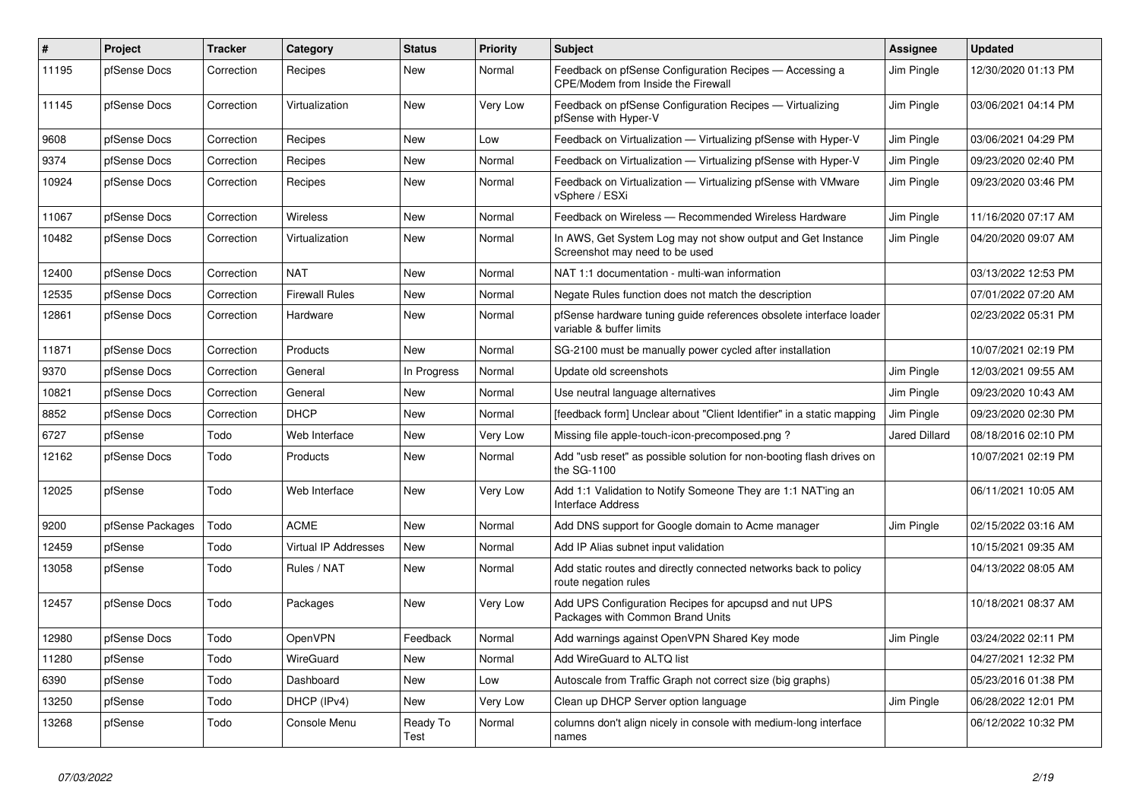| $\#$  | Project          | <b>Tracker</b> | Category                    | <b>Status</b>    | <b>Priority</b> | <b>Subject</b>                                                                                 | <b>Assignee</b> | <b>Updated</b>      |
|-------|------------------|----------------|-----------------------------|------------------|-----------------|------------------------------------------------------------------------------------------------|-----------------|---------------------|
| 11195 | pfSense Docs     | Correction     | Recipes                     | <b>New</b>       | Normal          | Feedback on pfSense Configuration Recipes - Accessing a<br>CPE/Modem from Inside the Firewall  | Jim Pingle      | 12/30/2020 01:13 PM |
| 11145 | pfSense Docs     | Correction     | Virtualization              | New              | Very Low        | Feedback on pfSense Configuration Recipes - Virtualizing<br>pfSense with Hyper-V               | Jim Pingle      | 03/06/2021 04:14 PM |
| 9608  | pfSense Docs     | Correction     | Recipes                     | <b>New</b>       | Low             | Feedback on Virtualization - Virtualizing pfSense with Hyper-V                                 | Jim Pingle      | 03/06/2021 04:29 PM |
| 9374  | pfSense Docs     | Correction     | Recipes                     | <b>New</b>       | Normal          | Feedback on Virtualization - Virtualizing pfSense with Hyper-V                                 | Jim Pingle      | 09/23/2020 02:40 PM |
| 10924 | pfSense Docs     | Correction     | Recipes                     | New              | Normal          | Feedback on Virtualization - Virtualizing pfSense with VMware<br>vSphere / ESXi                | Jim Pingle      | 09/23/2020 03:46 PM |
| 11067 | pfSense Docs     | Correction     | Wireless                    | <b>New</b>       | Normal          | Feedback on Wireless - Recommended Wireless Hardware                                           | Jim Pingle      | 11/16/2020 07:17 AM |
| 10482 | pfSense Docs     | Correction     | Virtualization              | New              | Normal          | In AWS, Get System Log may not show output and Get Instance<br>Screenshot may need to be used  | Jim Pingle      | 04/20/2020 09:07 AM |
| 12400 | pfSense Docs     | Correction     | <b>NAT</b>                  | <b>New</b>       | Normal          | NAT 1:1 documentation - multi-wan information                                                  |                 | 03/13/2022 12:53 PM |
| 12535 | pfSense Docs     | Correction     | <b>Firewall Rules</b>       | New              | Normal          | Negate Rules function does not match the description                                           |                 | 07/01/2022 07:20 AM |
| 12861 | pfSense Docs     | Correction     | Hardware                    | New              | Normal          | pfSense hardware tuning guide references obsolete interface loader<br>variable & buffer limits |                 | 02/23/2022 05:31 PM |
| 11871 | pfSense Docs     | Correction     | Products                    | <b>New</b>       | Normal          | SG-2100 must be manually power cycled after installation                                       |                 | 10/07/2021 02:19 PM |
| 9370  | pfSense Docs     | Correction     | General                     | In Progress      | Normal          | Update old screenshots                                                                         | Jim Pingle      | 12/03/2021 09:55 AM |
| 10821 | pfSense Docs     | Correction     | General                     | <b>New</b>       | Normal          | Use neutral language alternatives                                                              | Jim Pingle      | 09/23/2020 10:43 AM |
| 8852  | pfSense Docs     | Correction     | <b>DHCP</b>                 | <b>New</b>       | Normal          | [feedback form] Unclear about "Client Identifier" in a static mapping                          | Jim Pingle      | 09/23/2020 02:30 PM |
| 6727  | pfSense          | Todo           | Web Interface               | New              | Very Low        | Missing file apple-touch-icon-precomposed.png?                                                 | Jared Dillard   | 08/18/2016 02:10 PM |
| 12162 | pfSense Docs     | Todo           | Products                    | New              | Normal          | Add "usb reset" as possible solution for non-booting flash drives on<br>the SG-1100            |                 | 10/07/2021 02:19 PM |
| 12025 | pfSense          | Todo           | Web Interface               | New              | Very Low        | Add 1:1 Validation to Notify Someone They are 1:1 NAT'ing an<br><b>Interface Address</b>       |                 | 06/11/2021 10:05 AM |
| 9200  | pfSense Packages | Todo           | <b>ACME</b>                 | <b>New</b>       | Normal          | Add DNS support for Google domain to Acme manager                                              | Jim Pingle      | 02/15/2022 03:16 AM |
| 12459 | pfSense          | Todo           | <b>Virtual IP Addresses</b> | <b>New</b>       | Normal          | Add IP Alias subnet input validation                                                           |                 | 10/15/2021 09:35 AM |
| 13058 | pfSense          | Todo           | Rules / NAT                 | <b>New</b>       | Normal          | Add static routes and directly connected networks back to policy<br>route negation rules       |                 | 04/13/2022 08:05 AM |
| 12457 | pfSense Docs     | Todo           | Packages                    | New              | Very Low        | Add UPS Configuration Recipes for apcupsd and nut UPS<br>Packages with Common Brand Units      |                 | 10/18/2021 08:37 AM |
| 12980 | pfSense Docs     | Todo           | OpenVPN                     | Feedback         | Normal          | Add warnings against OpenVPN Shared Key mode                                                   | Jim Pingle      | 03/24/2022 02:11 PM |
| 11280 | pfSense          | Todo           | WireGuard                   | New              | Normal          | Add WireGuard to ALTQ list                                                                     |                 | 04/27/2021 12:32 PM |
| 6390  | pfSense          | Todo           | Dashboard                   | <b>New</b>       | Low             | Autoscale from Traffic Graph not correct size (big graphs)                                     |                 | 05/23/2016 01:38 PM |
| 13250 | pfSense          | Todo           | DHCP (IPv4)                 | <b>New</b>       | Very Low        | Clean up DHCP Server option language                                                           | Jim Pingle      | 06/28/2022 12:01 PM |
| 13268 | pfSense          | Todo           | Console Menu                | Ready To<br>Test | Normal          | columns don't align nicely in console with medium-long interface<br>names                      |                 | 06/12/2022 10:32 PM |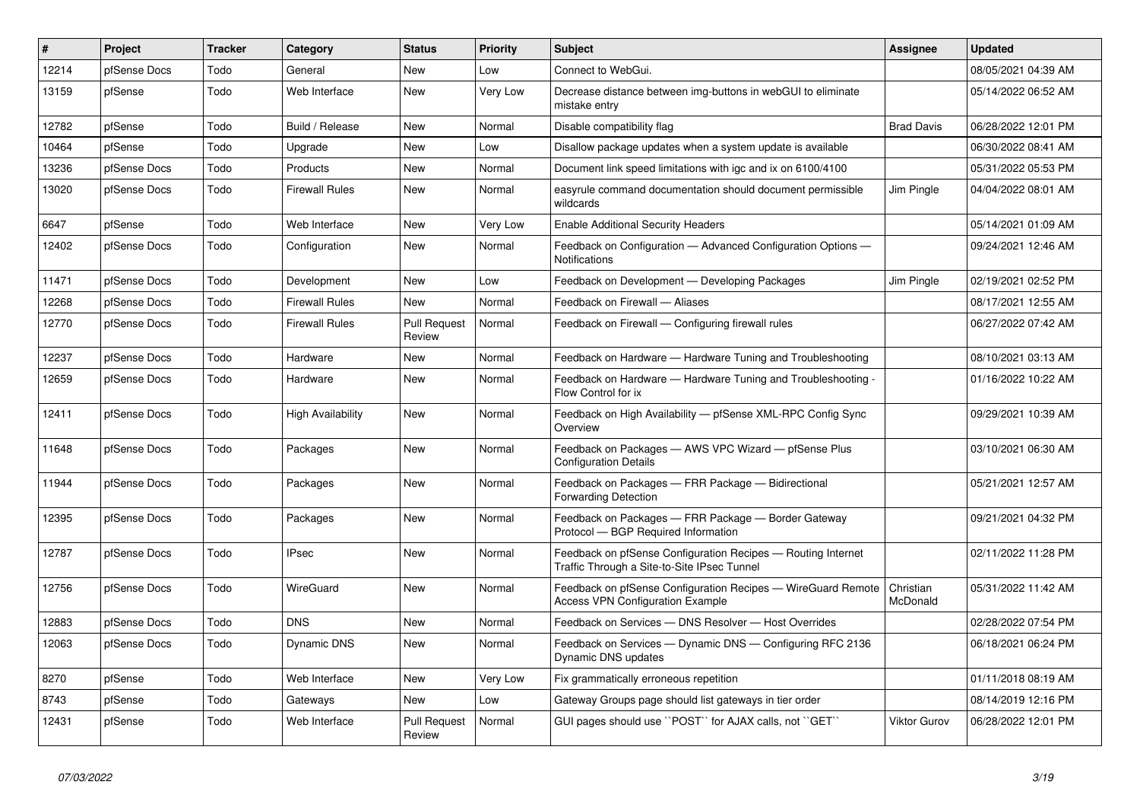| #     | <b>Project</b> | <b>Tracker</b> | Category              | <b>Status</b>                 | <b>Priority</b> | <b>Subject</b>                                                                                              | <b>Assignee</b>       | <b>Updated</b>      |
|-------|----------------|----------------|-----------------------|-------------------------------|-----------------|-------------------------------------------------------------------------------------------------------------|-----------------------|---------------------|
| 12214 | pfSense Docs   | Todo           | General               | New                           | Low             | Connect to WebGui.                                                                                          |                       | 08/05/2021 04:39 AM |
| 13159 | pfSense        | Todo           | Web Interface         | New                           | Very Low        | Decrease distance between img-buttons in webGUI to eliminate<br>mistake entry                               |                       | 05/14/2022 06:52 AM |
| 12782 | pfSense        | Todo           | Build / Release       | New                           | Normal          | Disable compatibility flag                                                                                  | <b>Brad Davis</b>     | 06/28/2022 12:01 PM |
| 10464 | pfSense        | Todo           | Upgrade               | New                           | Low             | Disallow package updates when a system update is available                                                  |                       | 06/30/2022 08:41 AM |
| 13236 | pfSense Docs   | Todo           | Products              | New                           | Normal          | Document link speed limitations with igc and ix on 6100/4100                                                |                       | 05/31/2022 05:53 PM |
| 13020 | pfSense Docs   | Todo           | <b>Firewall Rules</b> | <b>New</b>                    | Normal          | easyrule command documentation should document permissible<br>wildcards                                     | Jim Pingle            | 04/04/2022 08:01 AM |
| 6647  | pfSense        | Todo           | Web Interface         | New                           | Very Low        | <b>Enable Additional Security Headers</b>                                                                   |                       | 05/14/2021 01:09 AM |
| 12402 | pfSense Docs   | Todo           | Configuration         | New                           | Normal          | Feedback on Configuration - Advanced Configuration Options -<br><b>Notifications</b>                        |                       | 09/24/2021 12:46 AM |
| 11471 | pfSense Docs   | Todo           | Development           | New                           | Low             | Feedback on Development - Developing Packages                                                               | Jim Pingle            | 02/19/2021 02:52 PM |
| 12268 | pfSense Docs   | Todo           | <b>Firewall Rules</b> | New                           | Normal          | Feedback on Firewall - Aliases                                                                              |                       | 08/17/2021 12:55 AM |
| 12770 | pfSense Docs   | Todo           | <b>Firewall Rules</b> | <b>Pull Request</b><br>Review | Normal          | Feedback on Firewall — Configuring firewall rules                                                           |                       | 06/27/2022 07:42 AM |
| 12237 | pfSense Docs   | Todo           | Hardware              | New                           | Normal          | Feedback on Hardware - Hardware Tuning and Troubleshooting                                                  |                       | 08/10/2021 03:13 AM |
| 12659 | pfSense Docs   | Todo           | Hardware              | New                           | Normal          | Feedback on Hardware — Hardware Tuning and Troubleshooting -<br>Flow Control for ix                         |                       | 01/16/2022 10:22 AM |
| 12411 | pfSense Docs   | Todo           | High Availability     | <b>New</b>                    | Normal          | Feedback on High Availability - pfSense XML-RPC Config Sync<br>Overview                                     |                       | 09/29/2021 10:39 AM |
| 11648 | pfSense Docs   | Todo           | Packages              | New                           | Normal          | Feedback on Packages - AWS VPC Wizard - pfSense Plus<br><b>Configuration Details</b>                        |                       | 03/10/2021 06:30 AM |
| 11944 | pfSense Docs   | Todo           | Packages              | New                           | Normal          | Feedback on Packages - FRR Package - Bidirectional<br>Forwarding Detection                                  |                       | 05/21/2021 12:57 AM |
| 12395 | pfSense Docs   | Todo           | Packages              | <b>New</b>                    | Normal          | Feedback on Packages - FRR Package - Border Gateway<br>Protocol - BGP Required Information                  |                       | 09/21/2021 04:32 PM |
| 12787 | pfSense Docs   | Todo           | <b>IPsec</b>          | New                           | Normal          | Feedback on pfSense Configuration Recipes - Routing Internet<br>Traffic Through a Site-to-Site IPsec Tunnel |                       | 02/11/2022 11:28 PM |
| 12756 | pfSense Docs   | Todo           | WireGuard             | New                           | Normal          | Feedback on pfSense Configuration Recipes - WireGuard Remote<br><b>Access VPN Configuration Example</b>     | Christian<br>McDonald | 05/31/2022 11:42 AM |
| 12883 | pfSense Docs   | Todo           | <b>DNS</b>            | <b>New</b>                    | Normal          | Feedback on Services - DNS Resolver - Host Overrides                                                        |                       | 02/28/2022 07:54 PM |
| 12063 | pfSense Docs   | Todo           | Dynamic DNS           | New                           | Normal          | Feedback on Services — Dynamic DNS — Configuring RFC 2136<br>Dynamic DNS updates                            |                       | 06/18/2021 06:24 PM |
| 8270  | pfSense        | Todo           | Web Interface         | <b>New</b>                    | Very Low        | Fix grammatically erroneous repetition                                                                      |                       | 01/11/2018 08:19 AM |
| 8743  | pfSense        | Todo           | Gateways              | <b>New</b>                    | Low             | Gateway Groups page should list gateways in tier order                                                      |                       | 08/14/2019 12:16 PM |
| 12431 | pfSense        | Todo           | Web Interface         | <b>Pull Request</b><br>Review | Normal          | GUI pages should use "POST" for AJAX calls, not "GET"                                                       | <b>Viktor Gurov</b>   | 06/28/2022 12:01 PM |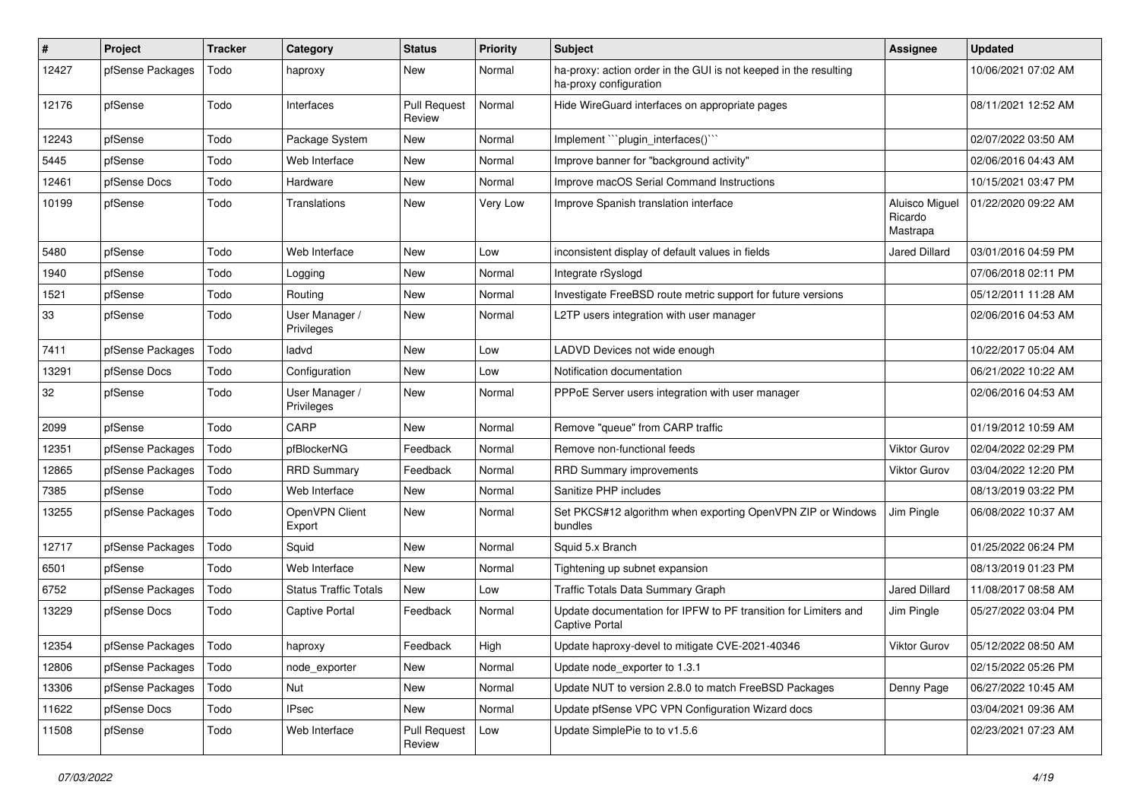| #     | Project          | <b>Tracker</b> | Category                     | <b>Status</b>                 | <b>Priority</b> | <b>Subject</b>                                                                             | Assignee                              | <b>Updated</b>      |
|-------|------------------|----------------|------------------------------|-------------------------------|-----------------|--------------------------------------------------------------------------------------------|---------------------------------------|---------------------|
| 12427 | pfSense Packages | Todo           | haproxy                      | New                           | Normal          | ha-proxy: action order in the GUI is not keeped in the resulting<br>ha-proxy configuration |                                       | 10/06/2021 07:02 AM |
| 12176 | pfSense          | Todo           | Interfaces                   | <b>Pull Request</b><br>Review | Normal          | Hide WireGuard interfaces on appropriate pages                                             |                                       | 08/11/2021 12:52 AM |
| 12243 | pfSense          | Todo           | Package System               | <b>New</b>                    | Normal          | Implement "``plugin_interfaces()`"                                                         |                                       | 02/07/2022 03:50 AM |
| 5445  | pfSense          | Todo           | Web Interface                | New                           | Normal          | Improve banner for "background activity"                                                   |                                       | 02/06/2016 04:43 AM |
| 12461 | pfSense Docs     | Todo           | Hardware                     | New                           | Normal          | Improve macOS Serial Command Instructions                                                  |                                       | 10/15/2021 03:47 PM |
| 10199 | pfSense          | Todo           | Translations                 | New                           | Very Low        | Improve Spanish translation interface                                                      | Aluisco Miguel<br>Ricardo<br>Mastrapa | 01/22/2020 09:22 AM |
| 5480  | pfSense          | Todo           | Web Interface                | New                           | Low             | inconsistent display of default values in fields                                           | <b>Jared Dillard</b>                  | 03/01/2016 04:59 PM |
| 1940  | pfSense          | Todo           | Logging                      | New                           | Normal          | Integrate rSyslogd                                                                         |                                       | 07/06/2018 02:11 PM |
| 1521  | pfSense          | Todo           | Routing                      | <b>New</b>                    | Normal          | Investigate FreeBSD route metric support for future versions                               |                                       | 05/12/2011 11:28 AM |
| 33    | pfSense          | Todo           | User Manager /<br>Privileges | New                           | Normal          | L2TP users integration with user manager                                                   |                                       | 02/06/2016 04:53 AM |
| 7411  | pfSense Packages | Todo           | ladvd                        | <b>New</b>                    | Low             | LADVD Devices not wide enough                                                              |                                       | 10/22/2017 05:04 AM |
| 13291 | pfSense Docs     | Todo           | Configuration                | New                           | Low             | Notification documentation                                                                 |                                       | 06/21/2022 10:22 AM |
| 32    | pfSense          | Todo           | User Manager /<br>Privileges | New                           | Normal          | PPPoE Server users integration with user manager                                           |                                       | 02/06/2016 04:53 AM |
| 2099  | pfSense          | Todo           | CARP                         | New                           | Normal          | Remove "queue" from CARP traffic                                                           |                                       | 01/19/2012 10:59 AM |
| 12351 | pfSense Packages | Todo           | pfBlockerNG                  | Feedback                      | Normal          | Remove non-functional feeds                                                                | Viktor Gurov                          | 02/04/2022 02:29 PM |
| 12865 | pfSense Packages | Todo           | <b>RRD Summary</b>           | Feedback                      | Normal          | <b>RRD Summary improvements</b>                                                            | <b>Viktor Gurov</b>                   | 03/04/2022 12:20 PM |
| 7385  | pfSense          | Todo           | Web Interface                | New                           | Normal          | Sanitize PHP includes                                                                      |                                       | 08/13/2019 03:22 PM |
| 13255 | pfSense Packages | Todo           | OpenVPN Client<br>Export     | New                           | Normal          | Set PKCS#12 algorithm when exporting OpenVPN ZIP or Windows<br>bundles                     | Jim Pingle                            | 06/08/2022 10:37 AM |
| 12717 | pfSense Packages | Todo           | Squid                        | <b>New</b>                    | Normal          | Squid 5.x Branch                                                                           |                                       | 01/25/2022 06:24 PM |
| 6501  | pfSense          | Todo           | Web Interface                | New                           | Normal          | Tightening up subnet expansion                                                             |                                       | 08/13/2019 01:23 PM |
| 6752  | pfSense Packages | Todo           | <b>Status Traffic Totals</b> | New                           | Low             | Traffic Totals Data Summary Graph                                                          | <b>Jared Dillard</b>                  | 11/08/2017 08:58 AM |
| 13229 | pfSense Docs     | Todo           | <b>Captive Portal</b>        | Feedback                      | Normal          | Update documentation for IPFW to PF transition for Limiters and<br>Captive Portal          | Jim Pingle                            | 05/27/2022 03:04 PM |
| 12354 | pfSense Packages | Todo           | haproxy                      | Feedback                      | High            | Update haproxy-devel to mitigate CVE-2021-40346                                            | Viktor Gurov                          | 05/12/2022 08:50 AM |
| 12806 | pfSense Packages | Todo           | node exporter                | New                           | Normal          | Update node exporter to 1.3.1                                                              |                                       | 02/15/2022 05:26 PM |
| 13306 | pfSense Packages | Todo           | Nut                          | New                           | Normal          | Update NUT to version 2.8.0 to match FreeBSD Packages                                      | Denny Page                            | 06/27/2022 10:45 AM |
| 11622 | pfSense Docs     | Todo           | IPsec                        | New                           | Normal          | Update pfSense VPC VPN Configuration Wizard docs                                           |                                       | 03/04/2021 09:36 AM |
| 11508 | pfSense          | Todo           | Web Interface                | <b>Pull Request</b><br>Review | Low             | Update SimplePie to to v1.5.6                                                              |                                       | 02/23/2021 07:23 AM |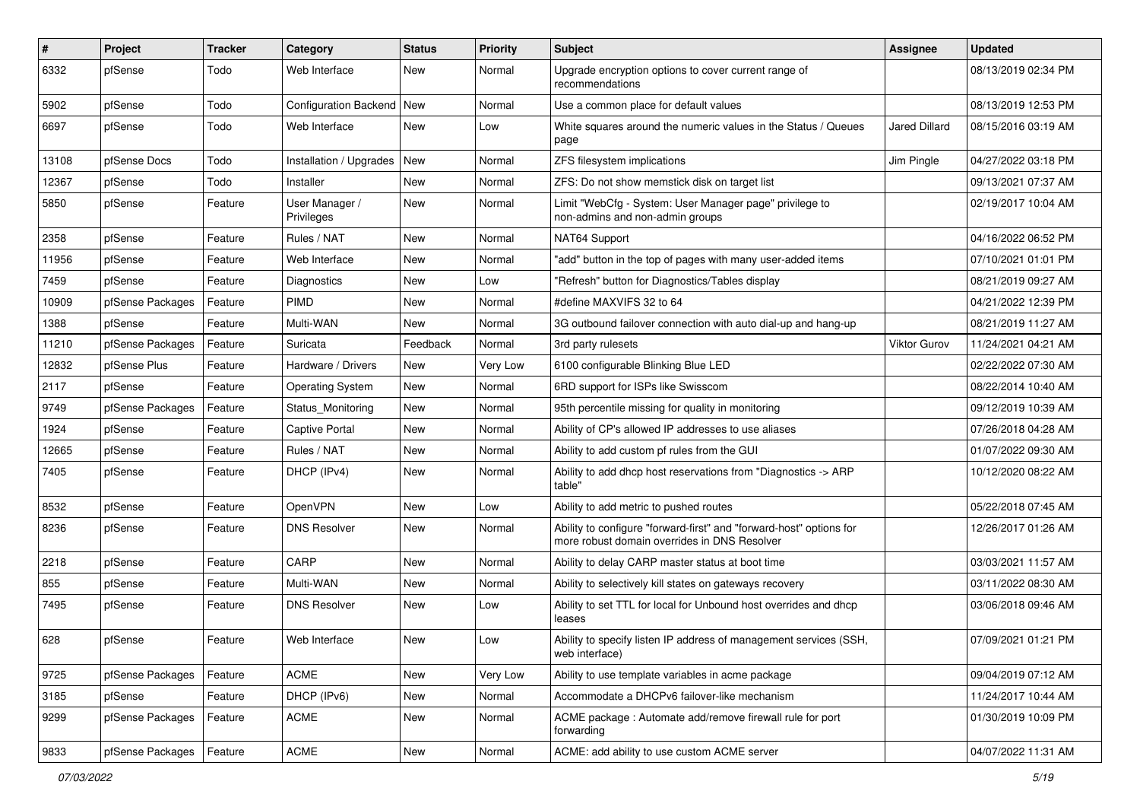| $\pmb{\#}$ | Project          | <b>Tracker</b> | Category                      | <b>Status</b> | <b>Priority</b> | <b>Subject</b>                                                                                                      | <b>Assignee</b>      | <b>Updated</b>      |
|------------|------------------|----------------|-------------------------------|---------------|-----------------|---------------------------------------------------------------------------------------------------------------------|----------------------|---------------------|
| 6332       | pfSense          | Todo           | Web Interface                 | New           | Normal          | Upgrade encryption options to cover current range of<br>recommendations                                             |                      | 08/13/2019 02:34 PM |
| 5902       | pfSense          | Todo           | Configuration Backend   New   |               | Normal          | Use a common place for default values                                                                               |                      | 08/13/2019 12:53 PM |
| 6697       | pfSense          | Todo           | Web Interface                 | New           | Low             | White squares around the numeric values in the Status / Queues<br>page                                              | <b>Jared Dillard</b> | 08/15/2016 03:19 AM |
| 13108      | pfSense Docs     | Todo           | Installation / Upgrades   New |               | Normal          | ZFS filesystem implications                                                                                         | Jim Pingle           | 04/27/2022 03:18 PM |
| 12367      | pfSense          | Todo           | Installer                     | New           | Normal          | ZFS: Do not show memstick disk on target list                                                                       |                      | 09/13/2021 07:37 AM |
| 5850       | pfSense          | Feature        | User Manager /<br>Privileges  | New           | Normal          | Limit "WebCfg - System: User Manager page" privilege to<br>non-admins and non-admin groups                          |                      | 02/19/2017 10:04 AM |
| 2358       | pfSense          | Feature        | Rules / NAT                   | New           | Normal          | NAT64 Support                                                                                                       |                      | 04/16/2022 06:52 PM |
| 11956      | pfSense          | Feature        | Web Interface                 | New           | Normal          | "add" button in the top of pages with many user-added items                                                         |                      | 07/10/2021 01:01 PM |
| 7459       | pfSense          | Feature        | Diagnostics                   | New           | Low             | "Refresh" button for Diagnostics/Tables display                                                                     |                      | 08/21/2019 09:27 AM |
| 10909      | pfSense Packages | Feature        | PIMD                          | New           | Normal          | #define MAXVIFS 32 to 64                                                                                            |                      | 04/21/2022 12:39 PM |
| 1388       | pfSense          | Feature        | Multi-WAN                     | New           | Normal          | 3G outbound failover connection with auto dial-up and hang-up                                                       |                      | 08/21/2019 11:27 AM |
| 11210      | pfSense Packages | Feature        | Suricata                      | Feedback      | Normal          | 3rd party rulesets                                                                                                  | Viktor Gurov         | 11/24/2021 04:21 AM |
| 12832      | pfSense Plus     | Feature        | Hardware / Drivers            | New           | Very Low        | 6100 configurable Blinking Blue LED                                                                                 |                      | 02/22/2022 07:30 AM |
| 2117       | pfSense          | Feature        | <b>Operating System</b>       | New           | Normal          | 6RD support for ISPs like Swisscom                                                                                  |                      | 08/22/2014 10:40 AM |
| 9749       | pfSense Packages | Feature        | Status Monitoring             | New           | Normal          | 95th percentile missing for quality in monitoring                                                                   |                      | 09/12/2019 10:39 AM |
| 1924       | pfSense          | Feature        | <b>Captive Portal</b>         | New           | Normal          | Ability of CP's allowed IP addresses to use aliases                                                                 |                      | 07/26/2018 04:28 AM |
| 12665      | pfSense          | Feature        | Rules / NAT                   | New           | Normal          | Ability to add custom pf rules from the GUI                                                                         |                      | 01/07/2022 09:30 AM |
| 7405       | pfSense          | Feature        | DHCP (IPv4)                   | New           | Normal          | Ability to add dhcp host reservations from "Diagnostics -> ARP<br>table"                                            |                      | 10/12/2020 08:22 AM |
| 8532       | pfSense          | Feature        | OpenVPN                       | New           | Low             | Ability to add metric to pushed routes                                                                              |                      | 05/22/2018 07:45 AM |
| 8236       | pfSense          | Feature        | <b>DNS Resolver</b>           | New           | Normal          | Ability to configure "forward-first" and "forward-host" options for<br>more robust domain overrides in DNS Resolver |                      | 12/26/2017 01:26 AM |
| 2218       | pfSense          | Feature        | CARP                          | New           | Normal          | Ability to delay CARP master status at boot time                                                                    |                      | 03/03/2021 11:57 AM |
| 855        | pfSense          | Feature        | Multi-WAN                     | New           | Normal          | Ability to selectively kill states on gateways recovery                                                             |                      | 03/11/2022 08:30 AM |
| 7495       | pfSense          | Feature        | <b>DNS Resolver</b>           | New           | Low             | Ability to set TTL for local for Unbound host overrides and dhcp<br>leases                                          |                      | 03/06/2018 09:46 AM |
| 628        | pfSense          | Feature        | Web Interface                 | New           | Low             | Ability to specify listen IP address of management services (SSH,<br>web interface)                                 |                      | 07/09/2021 01:21 PM |
| 9725       | pfSense Packages | Feature        | <b>ACME</b>                   | New           | Very Low        | Ability to use template variables in acme package                                                                   |                      | 09/04/2019 07:12 AM |
| 3185       | pfSense          | Feature        | DHCP (IPv6)                   | New           | Normal          | Accommodate a DHCPv6 failover-like mechanism                                                                        |                      | 11/24/2017 10:44 AM |
| 9299       | pfSense Packages | Feature        | <b>ACME</b>                   | New           | Normal          | ACME package: Automate add/remove firewall rule for port<br>forwarding                                              |                      | 01/30/2019 10:09 PM |
| 9833       | pfSense Packages | Feature        | ACME                          | New           | Normal          | ACME: add ability to use custom ACME server                                                                         |                      | 04/07/2022 11:31 AM |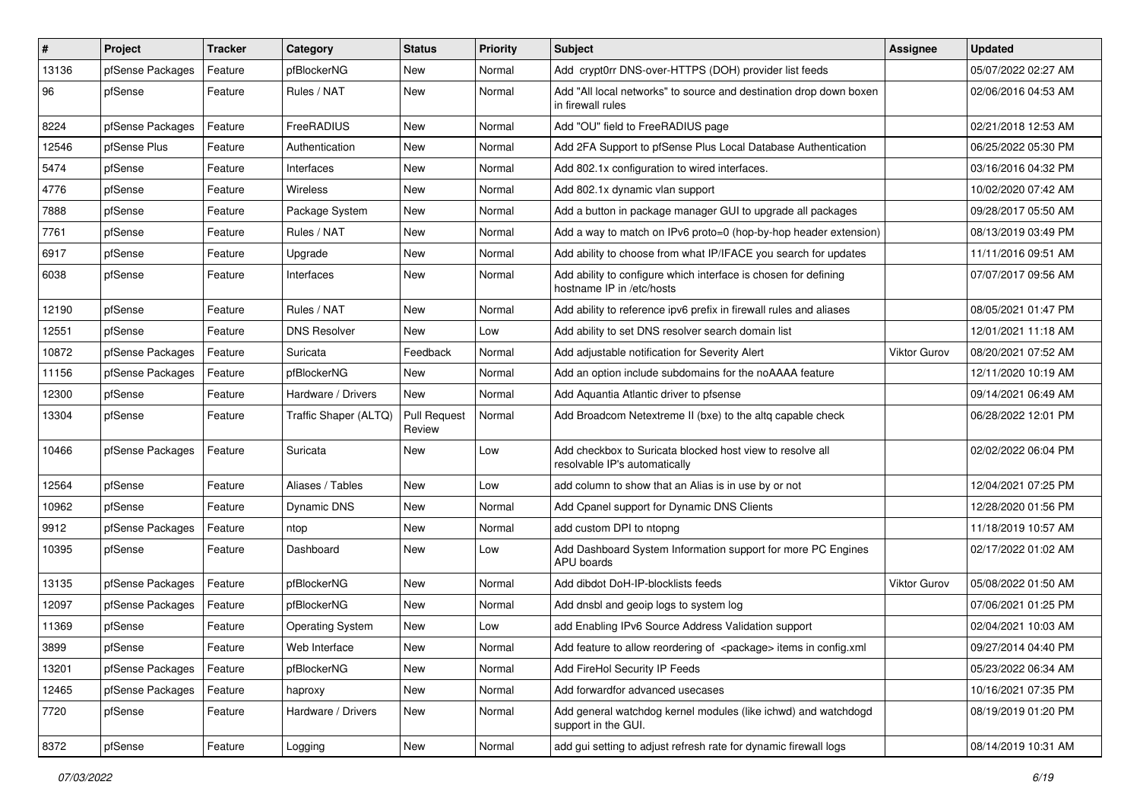| $\vert$ # | Project          | <b>Tracker</b> | Category                | <b>Status</b>                 | Priority | Subject                                                                                      | <b>Assignee</b>     | <b>Updated</b>      |
|-----------|------------------|----------------|-------------------------|-------------------------------|----------|----------------------------------------------------------------------------------------------|---------------------|---------------------|
| 13136     | pfSense Packages | Feature        | pfBlockerNG             | New                           | Normal   | Add crypt0rr DNS-over-HTTPS (DOH) provider list feeds                                        |                     | 05/07/2022 02:27 AM |
| 96        | pfSense          | Feature        | Rules / NAT             | New                           | Normal   | Add "All local networks" to source and destination drop down boxen<br>in firewall rules      |                     | 02/06/2016 04:53 AM |
| 8224      | pfSense Packages | Feature        | FreeRADIUS              | New                           | Normal   | Add "OU" field to FreeRADIUS page                                                            |                     | 02/21/2018 12:53 AM |
| 12546     | pfSense Plus     | Feature        | Authentication          | New                           | Normal   | Add 2FA Support to pfSense Plus Local Database Authentication                                |                     | 06/25/2022 05:30 PM |
| 5474      | pfSense          | Feature        | Interfaces              | New                           | Normal   | Add 802.1x configuration to wired interfaces.                                                |                     | 03/16/2016 04:32 PM |
| 4776      | pfSense          | Feature        | <b>Wireless</b>         | New                           | Normal   | Add 802.1x dynamic vlan support                                                              |                     | 10/02/2020 07:42 AM |
| 7888      | pfSense          | Feature        | Package System          | New                           | Normal   | Add a button in package manager GUI to upgrade all packages                                  |                     | 09/28/2017 05:50 AM |
| 7761      | pfSense          | Feature        | Rules / NAT             | New                           | Normal   | Add a way to match on IPv6 proto=0 (hop-by-hop header extension)                             |                     | 08/13/2019 03:49 PM |
| 6917      | pfSense          | Feature        | Upgrade                 | New                           | Normal   | Add ability to choose from what IP/IFACE you search for updates                              |                     | 11/11/2016 09:51 AM |
| 6038      | pfSense          | Feature        | Interfaces              | New                           | Normal   | Add ability to configure which interface is chosen for defining<br>hostname IP in /etc/hosts |                     | 07/07/2017 09:56 AM |
| 12190     | pfSense          | Feature        | Rules / NAT             | <b>New</b>                    | Normal   | Add ability to reference ipv6 prefix in firewall rules and aliases                           |                     | 08/05/2021 01:47 PM |
| 12551     | pfSense          | Feature        | <b>DNS Resolver</b>     | New                           | Low      | Add ability to set DNS resolver search domain list                                           |                     | 12/01/2021 11:18 AM |
| 10872     | pfSense Packages | Feature        | Suricata                | Feedback                      | Normal   | Add adjustable notification for Severity Alert                                               | <b>Viktor Gurov</b> | 08/20/2021 07:52 AM |
| 11156     | pfSense Packages | Feature        | pfBlockerNG             | New                           | Normal   | Add an option include subdomains for the noAAAA feature                                      |                     | 12/11/2020 10:19 AM |
| 12300     | pfSense          | Feature        | Hardware / Drivers      | New                           | Normal   | Add Aquantia Atlantic driver to pfsense                                                      |                     | 09/14/2021 06:49 AM |
| 13304     | pfSense          | Feature        | Traffic Shaper (ALTQ)   | <b>Pull Request</b><br>Review | Normal   | Add Broadcom Netextreme II (bxe) to the altg capable check                                   |                     | 06/28/2022 12:01 PM |
| 10466     | pfSense Packages | Feature        | Suricata                | New                           | Low      | Add checkbox to Suricata blocked host view to resolve all<br>resolvable IP's automatically   |                     | 02/02/2022 06:04 PM |
| 12564     | pfSense          | Feature        | Aliases / Tables        | New                           | Low      | add column to show that an Alias is in use by or not                                         |                     | 12/04/2021 07:25 PM |
| 10962     | pfSense          | Feature        | <b>Dynamic DNS</b>      | New                           | Normal   | Add Cpanel support for Dynamic DNS Clients                                                   |                     | 12/28/2020 01:56 PM |
| 9912      | pfSense Packages | Feature        | ntop                    | New                           | Normal   | add custom DPI to ntopng                                                                     |                     | 11/18/2019 10:57 AM |
| 10395     | pfSense          | Feature        | Dashboard               | New                           | Low      | Add Dashboard System Information support for more PC Engines<br>APU boards                   |                     | 02/17/2022 01:02 AM |
| 13135     | pfSense Packages | Feature        | pfBlockerNG             | New                           | Normal   | Add dibdot DoH-IP-blocklists feeds                                                           | <b>Viktor Gurov</b> | 05/08/2022 01:50 AM |
| 12097     | pfSense Packages | Feature        | pfBlockerNG             | New                           | Normal   | Add dnsbl and geoip logs to system log                                                       |                     | 07/06/2021 01:25 PM |
| 11369     | pfSense          | Feature        | <b>Operating System</b> | New                           | Low      | add Enabling IPv6 Source Address Validation support                                          |                     | 02/04/2021 10:03 AM |
| 3899      | pfSense          | Feature        | Web Interface           | <b>New</b>                    | Normal   | Add feature to allow reordering of <package> items in config.xml</package>                   |                     | 09/27/2014 04:40 PM |
| 13201     | pfSense Packages | Feature        | pfBlockerNG             | <b>New</b>                    | Normal   | Add FireHol Security IP Feeds                                                                |                     | 05/23/2022 06:34 AM |
| 12465     | pfSense Packages | Feature        | haproxy                 | New                           | Normal   | Add forwardfor advanced usecases                                                             |                     | 10/16/2021 07:35 PM |
| 7720      | pfSense          | Feature        | Hardware / Drivers      | New                           | Normal   | Add general watchdog kernel modules (like ichwd) and watchdogd<br>support in the GUI.        |                     | 08/19/2019 01:20 PM |
| 8372      | pfSense          | Feature        | Logging                 | New                           | Normal   | add gui setting to adjust refresh rate for dynamic firewall logs                             |                     | 08/14/2019 10:31 AM |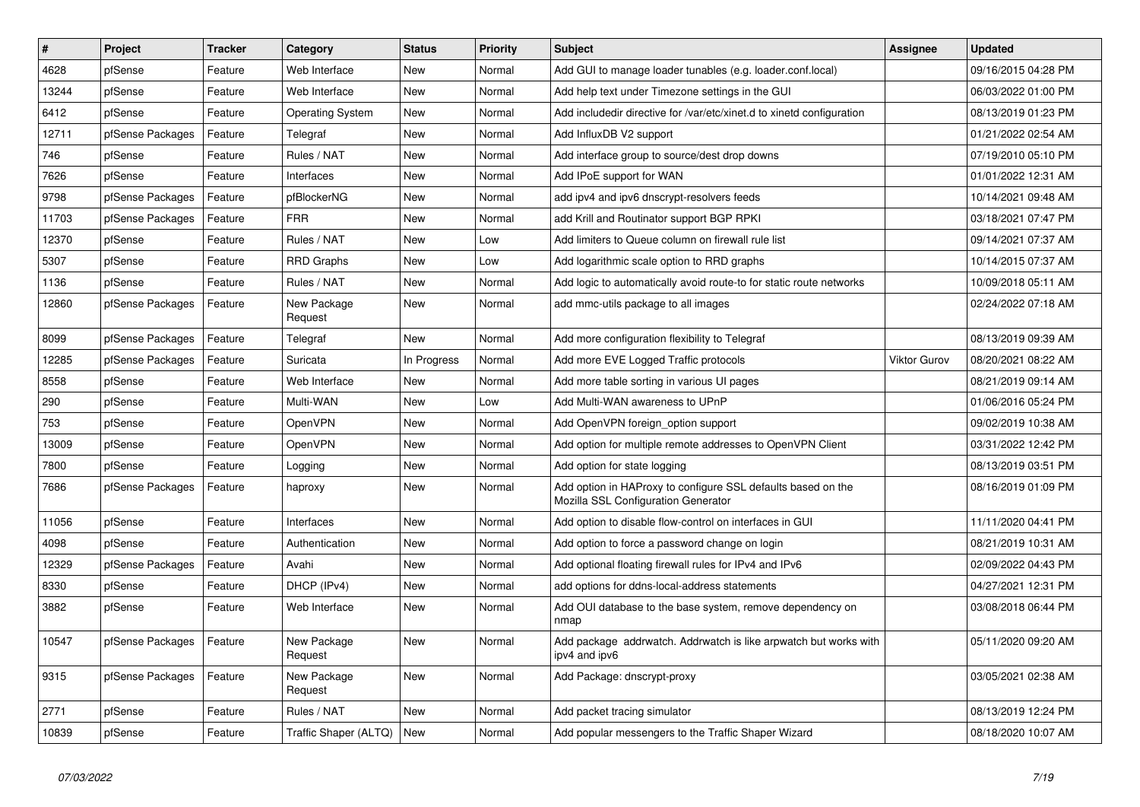| $\sharp$ | <b>Project</b>   | <b>Tracker</b> | Category                    | <b>Status</b> | <b>Priority</b> | <b>Subject</b>                                                                                      | <b>Assignee</b>     | <b>Updated</b>      |
|----------|------------------|----------------|-----------------------------|---------------|-----------------|-----------------------------------------------------------------------------------------------------|---------------------|---------------------|
| 4628     | pfSense          | Feature        | Web Interface               | <b>New</b>    | Normal          | Add GUI to manage loader tunables (e.g. loader.conf.local)                                          |                     | 09/16/2015 04:28 PM |
| 13244    | pfSense          | Feature        | Web Interface               | <b>New</b>    | Normal          | Add help text under Timezone settings in the GUI                                                    |                     | 06/03/2022 01:00 PM |
| 6412     | pfSense          | Feature        | <b>Operating System</b>     | New           | Normal          | Add includedir directive for /var/etc/xinet.d to xinetd configuration                               |                     | 08/13/2019 01:23 PM |
| 12711    | pfSense Packages | Feature        | Telegraf                    | <b>New</b>    | Normal          | Add InfluxDB V2 support                                                                             |                     | 01/21/2022 02:54 AM |
| 746      | pfSense          | Feature        | Rules / NAT                 | New           | Normal          | Add interface group to source/dest drop downs                                                       |                     | 07/19/2010 05:10 PM |
| 7626     | pfSense          | Feature        | Interfaces                  | New           | Normal          | Add IPoE support for WAN                                                                            |                     | 01/01/2022 12:31 AM |
| 9798     | pfSense Packages | Feature        | pfBlockerNG                 | New           | Normal          | add ipv4 and ipv6 dnscrypt-resolvers feeds                                                          |                     | 10/14/2021 09:48 AM |
| 11703    | pfSense Packages | Feature        | <b>FRR</b>                  | <b>New</b>    | Normal          | add Krill and Routinator support BGP RPKI                                                           |                     | 03/18/2021 07:47 PM |
| 12370    | pfSense          | Feature        | Rules / NAT                 | New           | Low             | Add limiters to Queue column on firewall rule list                                                  |                     | 09/14/2021 07:37 AM |
| 5307     | pfSense          | Feature        | <b>RRD Graphs</b>           | New           | Low             | Add logarithmic scale option to RRD graphs                                                          |                     | 10/14/2015 07:37 AM |
| 1136     | pfSense          | Feature        | Rules / NAT                 | New           | Normal          | Add logic to automatically avoid route-to for static route networks                                 |                     | 10/09/2018 05:11 AM |
| 12860    | pfSense Packages | Feature        | New Package<br>Request      | New           | Normal          | add mmc-utils package to all images                                                                 |                     | 02/24/2022 07:18 AM |
| 8099     | pfSense Packages | Feature        | Telegraf                    | New           | Normal          | Add more configuration flexibility to Telegraf                                                      |                     | 08/13/2019 09:39 AM |
| 12285    | pfSense Packages | Feature        | Suricata                    | In Progress   | Normal          | Add more EVE Logged Traffic protocols                                                               | <b>Viktor Gurov</b> | 08/20/2021 08:22 AM |
| 8558     | pfSense          | Feature        | Web Interface               | New           | Normal          | Add more table sorting in various UI pages                                                          |                     | 08/21/2019 09:14 AM |
| 290      | pfSense          | Feature        | Multi-WAN                   | New           | Low             | Add Multi-WAN awareness to UPnP                                                                     |                     | 01/06/2016 05:24 PM |
| 753      | pfSense          | Feature        | OpenVPN                     | New           | Normal          | Add OpenVPN foreign option support                                                                  |                     | 09/02/2019 10:38 AM |
| 13009    | pfSense          | Feature        | OpenVPN                     | <b>New</b>    | Normal          | Add option for multiple remote addresses to OpenVPN Client                                          |                     | 03/31/2022 12:42 PM |
| 7800     | pfSense          | Feature        | Logging                     | New           | Normal          | Add option for state logging                                                                        |                     | 08/13/2019 03:51 PM |
| 7686     | pfSense Packages | Feature        | haproxy                     | New           | Normal          | Add option in HAProxy to configure SSL defaults based on the<br>Mozilla SSL Configuration Generator |                     | 08/16/2019 01:09 PM |
| 11056    | pfSense          | Feature        | Interfaces                  | <b>New</b>    | Normal          | Add option to disable flow-control on interfaces in GUI                                             |                     | 11/11/2020 04:41 PM |
| 4098     | pfSense          | Feature        | Authentication              | New           | Normal          | Add option to force a password change on login                                                      |                     | 08/21/2019 10:31 AM |
| 12329    | pfSense Packages | Feature        | Avahi                       | New           | Normal          | Add optional floating firewall rules for IPv4 and IPv6                                              |                     | 02/09/2022 04:43 PM |
| 8330     | pfSense          | Feature        | DHCP (IPv4)                 | New           | Normal          | add options for ddns-local-address statements                                                       |                     | 04/27/2021 12:31 PM |
| 3882     | pfSense          | Feature        | Web Interface               | <b>New</b>    | Normal          | Add OUI database to the base system, remove dependency on<br>nmap                                   |                     | 03/08/2018 06:44 PM |
| 10547    | pfSense Packages | Feature        | New Package<br>Request      | New           | Normal          | Add package addrwatch. Addrwatch is like arpwatch but works with<br>ipv4 and ipv6                   |                     | 05/11/2020 09:20 AM |
| 9315     | pfSense Packages | Feature        | New Package<br>Request      | New           | Normal          | Add Package: dnscrypt-proxy                                                                         |                     | 03/05/2021 02:38 AM |
| 2771     | pfSense          | Feature        | Rules / NAT                 | <b>New</b>    | Normal          | Add packet tracing simulator                                                                        |                     | 08/13/2019 12:24 PM |
| 10839    | pfSense          | Feature        | Traffic Shaper (ALTQ)   New |               | Normal          | Add popular messengers to the Traffic Shaper Wizard                                                 |                     | 08/18/2020 10:07 AM |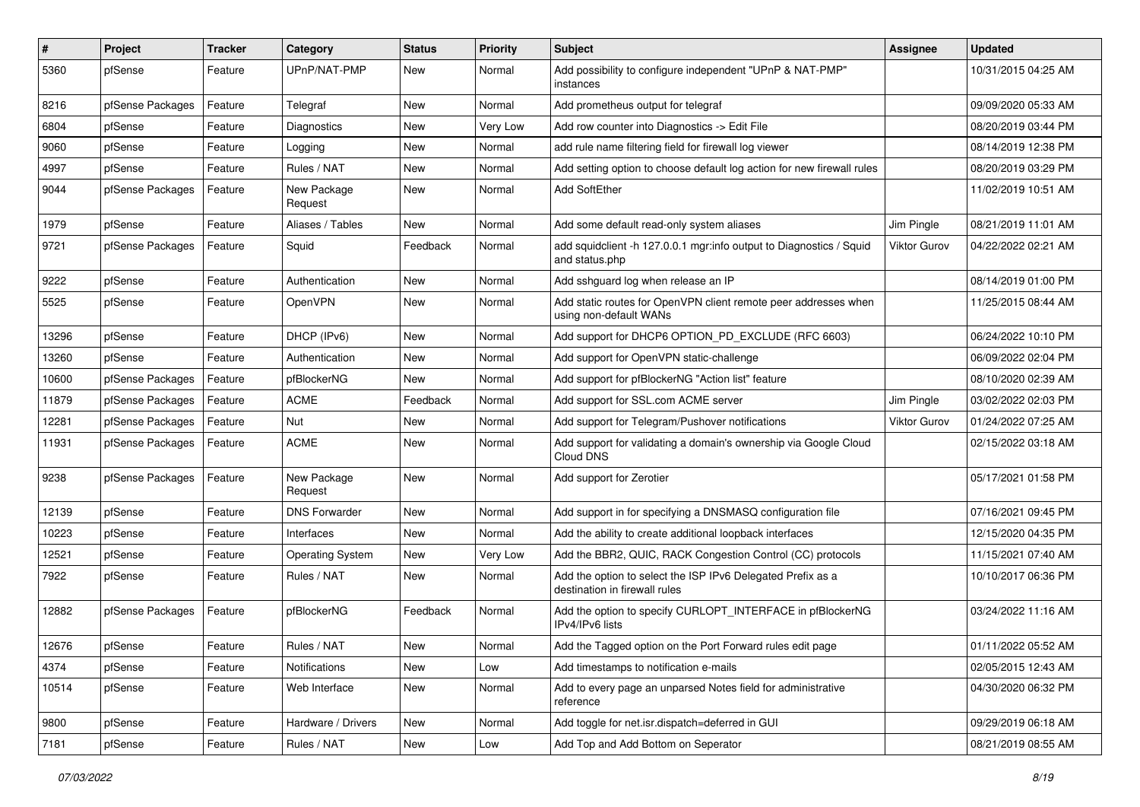| #     | Project          | <b>Tracker</b> | Category                | <b>Status</b> | <b>Priority</b> | <b>Subject</b>                                                                               | Assignee     | <b>Updated</b>      |
|-------|------------------|----------------|-------------------------|---------------|-----------------|----------------------------------------------------------------------------------------------|--------------|---------------------|
| 5360  | pfSense          | Feature        | UPnP/NAT-PMP            | New           | Normal          | Add possibility to configure independent "UPnP & NAT-PMP"<br>instances                       |              | 10/31/2015 04:25 AM |
| 8216  | pfSense Packages | Feature        | Telegraf                | New           | Normal          | Add prometheus output for telegraf                                                           |              | 09/09/2020 05:33 AM |
| 6804  | pfSense          | Feature        | Diagnostics             | New           | Very Low        | Add row counter into Diagnostics -> Edit File                                                |              | 08/20/2019 03:44 PM |
| 9060  | pfSense          | Feature        | Logging                 | New           | Normal          | add rule name filtering field for firewall log viewer                                        |              | 08/14/2019 12:38 PM |
| 4997  | pfSense          | Feature        | Rules / NAT             | New           | Normal          | Add setting option to choose default log action for new firewall rules                       |              | 08/20/2019 03:29 PM |
| 9044  | pfSense Packages | Feature        | New Package<br>Request  | New           | Normal          | Add SoftEther                                                                                |              | 11/02/2019 10:51 AM |
| 1979  | pfSense          | Feature        | Aliases / Tables        | New           | Normal          | Add some default read-only system aliases                                                    | Jim Pingle   | 08/21/2019 11:01 AM |
| 9721  | pfSense Packages | Feature        | Squid                   | Feedback      | Normal          | add squidclient -h 127.0.0.1 mgr:info output to Diagnostics / Squid<br>and status.php        | Viktor Gurov | 04/22/2022 02:21 AM |
| 9222  | pfSense          | Feature        | Authentication          | New           | Normal          | Add sshguard log when release an IP                                                          |              | 08/14/2019 01:00 PM |
| 5525  | pfSense          | Feature        | OpenVPN                 | New           | Normal          | Add static routes for OpenVPN client remote peer addresses when<br>using non-default WANs    |              | 11/25/2015 08:44 AM |
| 13296 | pfSense          | Feature        | DHCP (IPv6)             | New           | Normal          | Add support for DHCP6 OPTION PD EXCLUDE (RFC 6603)                                           |              | 06/24/2022 10:10 PM |
| 13260 | pfSense          | Feature        | Authentication          | New           | Normal          | Add support for OpenVPN static-challenge                                                     |              | 06/09/2022 02:04 PM |
| 10600 | pfSense Packages | Feature        | pfBlockerNG             | New           | Normal          | Add support for pfBlockerNG "Action list" feature                                            |              | 08/10/2020 02:39 AM |
| 11879 | pfSense Packages | Feature        | <b>ACME</b>             | Feedback      | Normal          | Add support for SSL.com ACME server                                                          | Jim Pingle   | 03/02/2022 02:03 PM |
| 12281 | pfSense Packages | Feature        | Nut                     | New           | Normal          | Add support for Telegram/Pushover notifications                                              | Viktor Gurov | 01/24/2022 07:25 AM |
| 11931 | pfSense Packages | Feature        | <b>ACME</b>             | New           | Normal          | Add support for validating a domain's ownership via Google Cloud<br>Cloud DNS                |              | 02/15/2022 03:18 AM |
| 9238  | pfSense Packages | Feature        | New Package<br>Request  | <b>New</b>    | Normal          | Add support for Zerotier                                                                     |              | 05/17/2021 01:58 PM |
| 12139 | pfSense          | Feature        | <b>DNS Forwarder</b>    | New           | Normal          | Add support in for specifying a DNSMASQ configuration file                                   |              | 07/16/2021 09:45 PM |
| 10223 | pfSense          | Feature        | Interfaces              | New           | Normal          | Add the ability to create additional loopback interfaces                                     |              | 12/15/2020 04:35 PM |
| 12521 | pfSense          | Feature        | <b>Operating System</b> | New           | Very Low        | Add the BBR2, QUIC, RACK Congestion Control (CC) protocols                                   |              | 11/15/2021 07:40 AM |
| 7922  | pfSense          | Feature        | Rules / NAT             | New           | Normal          | Add the option to select the ISP IPv6 Delegated Prefix as a<br>destination in firewall rules |              | 10/10/2017 06:36 PM |
| 12882 | pfSense Packages | Feature        | pfBlockerNG             | Feedback      | Normal          | Add the option to specify CURLOPT_INTERFACE in pfBlockerNG<br>IPv4/IPv6 lists                |              | 03/24/2022 11:16 AM |
| 12676 | pfSense          | Feature        | Rules / NAT             | New           | Normal          | Add the Tagged option on the Port Forward rules edit page                                    |              | 01/11/2022 05:52 AM |
| 4374  | pfSense          | Feature        | Notifications           | New           | Low             | Add timestamps to notification e-mails                                                       |              | 02/05/2015 12:43 AM |
| 10514 | pfSense          | Feature        | Web Interface           | New           | Normal          | Add to every page an unparsed Notes field for administrative<br>reference                    |              | 04/30/2020 06:32 PM |
| 9800  | pfSense          | Feature        | Hardware / Drivers      | New           | Normal          | Add toggle for net.isr.dispatch=deferred in GUI                                              |              | 09/29/2019 06:18 AM |
| 7181  | pfSense          | Feature        | Rules / NAT             | New           | Low             | Add Top and Add Bottom on Seperator                                                          |              | 08/21/2019 08:55 AM |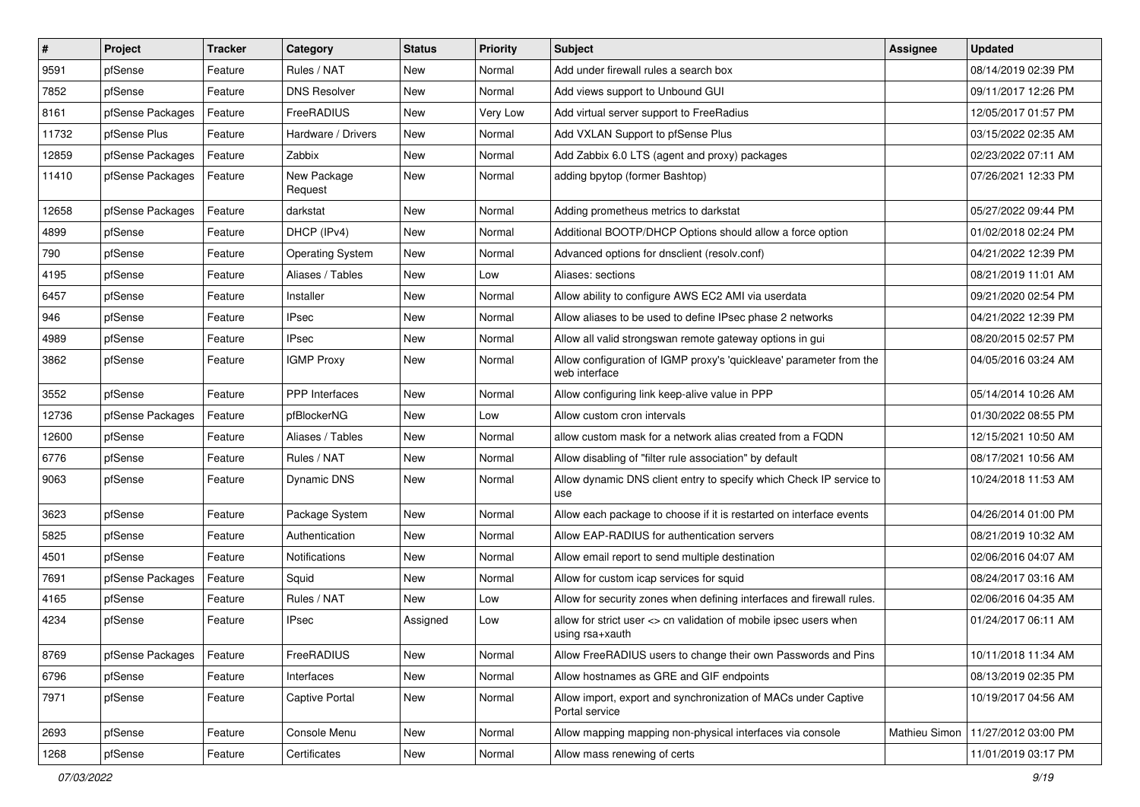| $\vert$ # | Project          | <b>Tracker</b> | Category                | <b>Status</b> | <b>Priority</b> | Subject                                                                              | <b>Assignee</b> | <b>Updated</b>      |
|-----------|------------------|----------------|-------------------------|---------------|-----------------|--------------------------------------------------------------------------------------|-----------------|---------------------|
| 9591      | pfSense          | Feature        | Rules / NAT             | New           | Normal          | Add under firewall rules a search box                                                |                 | 08/14/2019 02:39 PM |
| 7852      | pfSense          | Feature        | <b>DNS Resolver</b>     | <b>New</b>    | Normal          | Add views support to Unbound GUI                                                     |                 | 09/11/2017 12:26 PM |
| 8161      | pfSense Packages | Feature        | FreeRADIUS              | New           | Very Low        | Add virtual server support to FreeRadius                                             |                 | 12/05/2017 01:57 PM |
| 11732     | pfSense Plus     | Feature        | Hardware / Drivers      | New           | Normal          | Add VXLAN Support to pfSense Plus                                                    |                 | 03/15/2022 02:35 AM |
| 12859     | pfSense Packages | Feature        | Zabbix                  | New           | Normal          | Add Zabbix 6.0 LTS (agent and proxy) packages                                        |                 | 02/23/2022 07:11 AM |
| 11410     | pfSense Packages | Feature        | New Package<br>Request  | New           | Normal          | adding bpytop (former Bashtop)                                                       |                 | 07/26/2021 12:33 PM |
| 12658     | pfSense Packages | Feature        | darkstat                | New           | Normal          | Adding prometheus metrics to darkstat                                                |                 | 05/27/2022 09:44 PM |
| 4899      | pfSense          | Feature        | DHCP (IPv4)             | New           | Normal          | Additional BOOTP/DHCP Options should allow a force option                            |                 | 01/02/2018 02:24 PM |
| 790       | pfSense          | Feature        | <b>Operating System</b> | <b>New</b>    | Normal          | Advanced options for dnsclient (resolv.conf)                                         |                 | 04/21/2022 12:39 PM |
| 4195      | pfSense          | Feature        | Aliases / Tables        | New           | Low             | Aliases: sections                                                                    |                 | 08/21/2019 11:01 AM |
| 6457      | pfSense          | Feature        | Installer               | New           | Normal          | Allow ability to configure AWS EC2 AMI via userdata                                  |                 | 09/21/2020 02:54 PM |
| 946       | pfSense          | Feature        | <b>IPsec</b>            | <b>New</b>    | Normal          | Allow aliases to be used to define IPsec phase 2 networks                            |                 | 04/21/2022 12:39 PM |
| 4989      | pfSense          | Feature        | <b>IPsec</b>            | New           | Normal          | Allow all valid strongswan remote gateway options in gui                             |                 | 08/20/2015 02:57 PM |
| 3862      | pfSense          | Feature        | <b>IGMP Proxy</b>       | New           | Normal          | Allow configuration of IGMP proxy's 'quickleave' parameter from the<br>web interface |                 | 04/05/2016 03:24 AM |
| 3552      | pfSense          | Feature        | PPP Interfaces          | New           | Normal          | Allow configuring link keep-alive value in PPP                                       |                 | 05/14/2014 10:26 AM |
| 12736     | pfSense Packages | Feature        | pfBlockerNG             | New           | Low             | Allow custom cron intervals                                                          |                 | 01/30/2022 08:55 PM |
| 12600     | pfSense          | Feature        | Aliases / Tables        | New           | Normal          | allow custom mask for a network alias created from a FQDN                            |                 | 12/15/2021 10:50 AM |
| 6776      | pfSense          | Feature        | Rules / NAT             | New           | Normal          | Allow disabling of "filter rule association" by default                              |                 | 08/17/2021 10:56 AM |
| 9063      | pfSense          | Feature        | Dynamic DNS             | New           | Normal          | Allow dynamic DNS client entry to specify which Check IP service to<br>use           |                 | 10/24/2018 11:53 AM |
| 3623      | pfSense          | Feature        | Package System          | <b>New</b>    | Normal          | Allow each package to choose if it is restarted on interface events                  |                 | 04/26/2014 01:00 PM |
| 5825      | pfSense          | Feature        | Authentication          | New           | Normal          | Allow EAP-RADIUS for authentication servers                                          |                 | 08/21/2019 10:32 AM |
| 4501      | pfSense          | Feature        | <b>Notifications</b>    | New           | Normal          | Allow email report to send multiple destination                                      |                 | 02/06/2016 04:07 AM |
| 7691      | pfSense Packages | Feature        | Squid                   | <b>New</b>    | Normal          | Allow for custom icap services for squid                                             |                 | 08/24/2017 03:16 AM |
| 4165      | pfSense          | Feature        | Rules / NAT             | New           | Low             | Allow for security zones when defining interfaces and firewall rules.                |                 | 02/06/2016 04:35 AM |
| 4234      | pfSense          | Feature        | <b>IPsec</b>            | Assigned      | Low             | allow for strict user <> cn validation of mobile ipsec users when<br>using rsa+xauth |                 | 01/24/2017 06:11 AM |
| 8769      | pfSense Packages | Feature        | FreeRADIUS              | New           | Normal          | Allow FreeRADIUS users to change their own Passwords and Pins                        |                 | 10/11/2018 11:34 AM |
| 6796      | pfSense          | Feature        | Interfaces              | New           | Normal          | Allow hostnames as GRE and GIF endpoints                                             |                 | 08/13/2019 02:35 PM |
| 7971      | pfSense          | Feature        | Captive Portal          | New           | Normal          | Allow import, export and synchronization of MACs under Captive<br>Portal service     |                 | 10/19/2017 04:56 AM |
| 2693      | pfSense          | Feature        | Console Menu            | New           | Normal          | Allow mapping mapping non-physical interfaces via console                            | Mathieu Simon   | 11/27/2012 03:00 PM |
| 1268      | pfSense          | Feature        | Certificates            | New           | Normal          | Allow mass renewing of certs                                                         |                 | 11/01/2019 03:17 PM |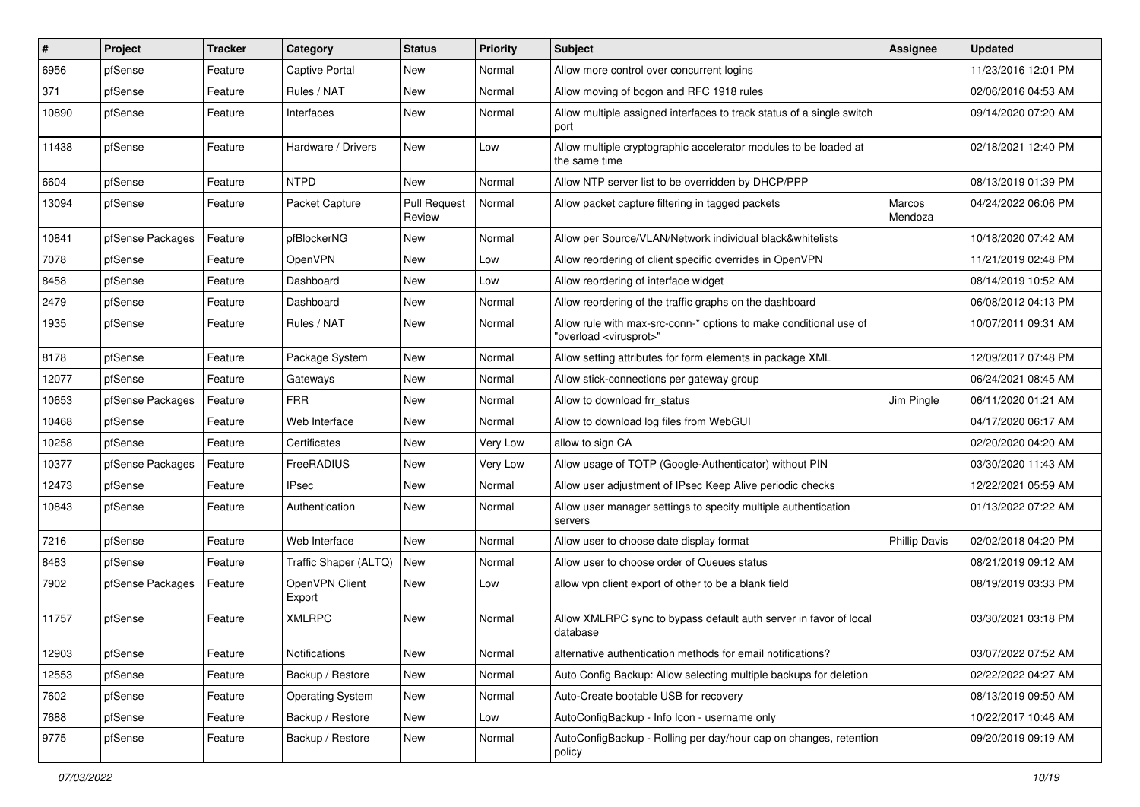| #     | Project          | <b>Tracker</b> | Category                 | <b>Status</b>                 | <b>Priority</b> | <b>Subject</b>                                                                                          | <b>Assignee</b>      | <b>Updated</b>      |
|-------|------------------|----------------|--------------------------|-------------------------------|-----------------|---------------------------------------------------------------------------------------------------------|----------------------|---------------------|
| 6956  | pfSense          | Feature        | <b>Captive Portal</b>    | New                           | Normal          | Allow more control over concurrent logins                                                               |                      | 11/23/2016 12:01 PM |
| 371   | pfSense          | Feature        | Rules / NAT              | New                           | Normal          | Allow moving of bogon and RFC 1918 rules                                                                |                      | 02/06/2016 04:53 AM |
| 10890 | pfSense          | Feature        | Interfaces               | New                           | Normal          | Allow multiple assigned interfaces to track status of a single switch<br>port                           |                      | 09/14/2020 07:20 AM |
| 11438 | pfSense          | Feature        | Hardware / Drivers       | New                           | Low             | Allow multiple cryptographic accelerator modules to be loaded at<br>the same time                       |                      | 02/18/2021 12:40 PM |
| 6604  | pfSense          | Feature        | <b>NTPD</b>              | New                           | Normal          | Allow NTP server list to be overridden by DHCP/PPP                                                      |                      | 08/13/2019 01:39 PM |
| 13094 | pfSense          | Feature        | Packet Capture           | <b>Pull Request</b><br>Review | Normal          | Allow packet capture filtering in tagged packets                                                        | Marcos<br>Mendoza    | 04/24/2022 06:06 PM |
| 10841 | pfSense Packages | Feature        | pfBlockerNG              | New                           | Normal          | Allow per Source/VLAN/Network individual black&whitelists                                               |                      | 10/18/2020 07:42 AM |
| 7078  | pfSense          | Feature        | OpenVPN                  | New                           | Low             | Allow reordering of client specific overrides in OpenVPN                                                |                      | 11/21/2019 02:48 PM |
| 8458  | pfSense          | Feature        | Dashboard                | New                           | Low             | Allow reordering of interface widget                                                                    |                      | 08/14/2019 10:52 AM |
| 2479  | pfSense          | Feature        | Dashboard                | New                           | Normal          | Allow reordering of the traffic graphs on the dashboard                                                 |                      | 06/08/2012 04:13 PM |
| 1935  | pfSense          | Feature        | Rules / NAT              | New                           | Normal          | Allow rule with max-src-conn-* options to make conditional use of<br>"overload <virusprot>"</virusprot> |                      | 10/07/2011 09:31 AM |
| 8178  | pfSense          | Feature        | Package System           | New                           | Normal          | Allow setting attributes for form elements in package XML                                               |                      | 12/09/2017 07:48 PM |
| 12077 | pfSense          | Feature        | Gateways                 | New                           | Normal          | Allow stick-connections per gateway group                                                               |                      | 06/24/2021 08:45 AM |
| 10653 | pfSense Packages | Feature        | <b>FRR</b>               | <b>New</b>                    | Normal          | Allow to download frr status                                                                            | Jim Pingle           | 06/11/2020 01:21 AM |
| 10468 | pfSense          | Feature        | Web Interface            | New                           | Normal          | Allow to download log files from WebGUI                                                                 |                      | 04/17/2020 06:17 AM |
| 10258 | pfSense          | Feature        | Certificates             | New                           | Very Low        | allow to sign CA                                                                                        |                      | 02/20/2020 04:20 AM |
| 10377 | pfSense Packages | Feature        | FreeRADIUS               | New                           | Very Low        | Allow usage of TOTP (Google-Authenticator) without PIN                                                  |                      | 03/30/2020 11:43 AM |
| 12473 | pfSense          | Feature        | <b>IPsec</b>             | New                           | Normal          | Allow user adjustment of IPsec Keep Alive periodic checks                                               |                      | 12/22/2021 05:59 AM |
| 10843 | pfSense          | Feature        | Authentication           | New                           | Normal          | Allow user manager settings to specify multiple authentication<br>servers                               |                      | 01/13/2022 07:22 AM |
| 7216  | pfSense          | Feature        | Web Interface            | New                           | Normal          | Allow user to choose date display format                                                                | <b>Phillip Davis</b> | 02/02/2018 04:20 PM |
| 8483  | pfSense          | Feature        | Traffic Shaper (ALTQ)    | New                           | Normal          | Allow user to choose order of Queues status                                                             |                      | 08/21/2019 09:12 AM |
| 7902  | pfSense Packages | Feature        | OpenVPN Client<br>Export | New                           | Low             | allow vpn client export of other to be a blank field                                                    |                      | 08/19/2019 03:33 PM |
| 11757 | pfSense          | Feature        | <b>XMLRPC</b>            | New                           | Normal          | Allow XMLRPC sync to bypass default auth server in favor of local<br>database                           |                      | 03/30/2021 03:18 PM |
| 12903 | pfSense          | Feature        | Notifications            | New                           | Normal          | alternative authentication methods for email notifications?                                             |                      | 03/07/2022 07:52 AM |
| 12553 | pfSense          | Feature        | Backup / Restore         | New                           | Normal          | Auto Config Backup: Allow selecting multiple backups for deletion                                       |                      | 02/22/2022 04:27 AM |
| 7602  | pfSense          | Feature        | <b>Operating System</b>  | New                           | Normal          | Auto-Create bootable USB for recovery                                                                   |                      | 08/13/2019 09:50 AM |
| 7688  | pfSense          | Feature        | Backup / Restore         | New                           | Low             | AutoConfigBackup - Info Icon - username only                                                            |                      | 10/22/2017 10:46 AM |
| 9775  | pfSense          | Feature        | Backup / Restore         | New                           | Normal          | AutoConfigBackup - Rolling per day/hour cap on changes, retention<br>policy                             |                      | 09/20/2019 09:19 AM |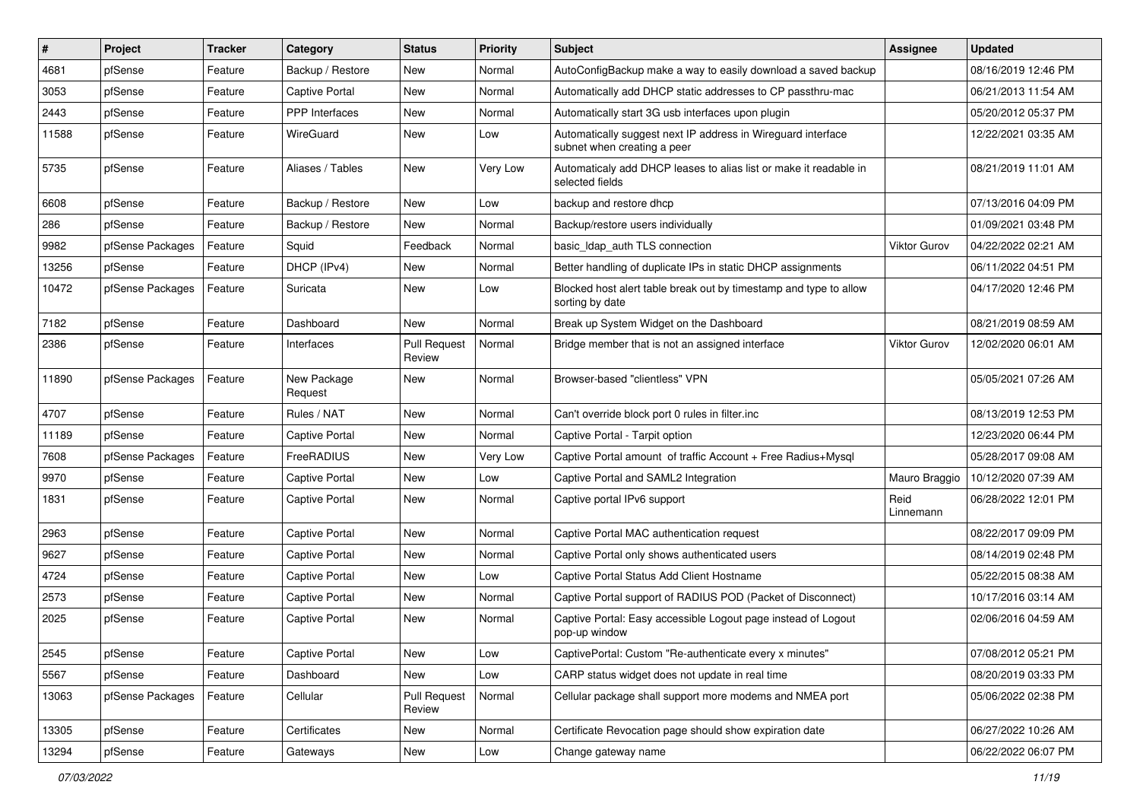| $\vert$ # | Project          | <b>Tracker</b> | Category               | <b>Status</b>                 | <b>Priority</b> | Subject                                                                                     | Assignee            | <b>Updated</b>      |
|-----------|------------------|----------------|------------------------|-------------------------------|-----------------|---------------------------------------------------------------------------------------------|---------------------|---------------------|
| 4681      | pfSense          | Feature        | Backup / Restore       | New                           | Normal          | AutoConfigBackup make a way to easily download a saved backup                               |                     | 08/16/2019 12:46 PM |
| 3053      | pfSense          | Feature        | Captive Portal         | New                           | Normal          | Automatically add DHCP static addresses to CP passthru-mac                                  |                     | 06/21/2013 11:54 AM |
| 2443      | pfSense          | Feature        | PPP Interfaces         | New                           | Normal          | Automatically start 3G usb interfaces upon plugin                                           |                     | 05/20/2012 05:37 PM |
| 11588     | pfSense          | Feature        | WireGuard              | New                           | Low             | Automatically suggest next IP address in Wireguard interface<br>subnet when creating a peer |                     | 12/22/2021 03:35 AM |
| 5735      | pfSense          | Feature        | Aliases / Tables       | New                           | Very Low        | Automaticaly add DHCP leases to alias list or make it readable in<br>selected fields        |                     | 08/21/2019 11:01 AM |
| 6608      | pfSense          | Feature        | Backup / Restore       | <b>New</b>                    | Low             | backup and restore dhcp                                                                     |                     | 07/13/2016 04:09 PM |
| 286       | pfSense          | Feature        | Backup / Restore       | New                           | Normal          | Backup/restore users individually                                                           |                     | 01/09/2021 03:48 PM |
| 9982      | pfSense Packages | Feature        | Squid                  | Feedback                      | Normal          | basic_Idap_auth TLS connection                                                              | <b>Viktor Gurov</b> | 04/22/2022 02:21 AM |
| 13256     | pfSense          | Feature        | DHCP (IPv4)            | New                           | Normal          | Better handling of duplicate IPs in static DHCP assignments                                 |                     | 06/11/2022 04:51 PM |
| 10472     | pfSense Packages | Feature        | Suricata               | New                           | Low             | Blocked host alert table break out by timestamp and type to allow<br>sorting by date        |                     | 04/17/2020 12:46 PM |
| 7182      | pfSense          | Feature        | Dashboard              | New                           | Normal          | Break up System Widget on the Dashboard                                                     |                     | 08/21/2019 08:59 AM |
| 2386      | pfSense          | Feature        | Interfaces             | <b>Pull Request</b><br>Review | Normal          | Bridge member that is not an assigned interface                                             | <b>Viktor Gurov</b> | 12/02/2020 06:01 AM |
| 11890     | pfSense Packages | Feature        | New Package<br>Request | New                           | Normal          | Browser-based "clientless" VPN                                                              |                     | 05/05/2021 07:26 AM |
| 4707      | pfSense          | Feature        | Rules / NAT            | New                           | Normal          | Can't override block port 0 rules in filter.inc                                             |                     | 08/13/2019 12:53 PM |
| 11189     | pfSense          | Feature        | Captive Portal         | New                           | Normal          | Captive Portal - Tarpit option                                                              |                     | 12/23/2020 06:44 PM |
| 7608      | pfSense Packages | Feature        | FreeRADIUS             | New                           | Very Low        | Captive Portal amount of traffic Account + Free Radius+Mysql                                |                     | 05/28/2017 09:08 AM |
| 9970      | pfSense          | Feature        | <b>Captive Portal</b>  | New                           | Low             | Captive Portal and SAML2 Integration                                                        | Mauro Braggio       | 10/12/2020 07:39 AM |
| 1831      | pfSense          | Feature        | <b>Captive Portal</b>  | New                           | Normal          | Captive portal IPv6 support                                                                 | Reid<br>Linnemann   | 06/28/2022 12:01 PM |
| 2963      | pfSense          | Feature        | <b>Captive Portal</b>  | New                           | Normal          | Captive Portal MAC authentication request                                                   |                     | 08/22/2017 09:09 PM |
| 9627      | pfSense          | Feature        | <b>Captive Portal</b>  | New                           | Normal          | Captive Portal only shows authenticated users                                               |                     | 08/14/2019 02:48 PM |
| 4724      | pfSense          | Feature        | <b>Captive Portal</b>  | New                           | Low             | Captive Portal Status Add Client Hostname                                                   |                     | 05/22/2015 08:38 AM |
| 2573      | pfSense          | Feature        | Captive Portal         | New                           | Normal          | Captive Portal support of RADIUS POD (Packet of Disconnect)                                 |                     | 10/17/2016 03:14 AM |
| 2025      | pfSense          | Feature        | Captive Portal         | New                           | Normal          | Captive Portal: Easy accessible Logout page instead of Logout<br>pop-up window              |                     | 02/06/2016 04:59 AM |
| 2545      | pfSense          | Feature        | <b>Captive Portal</b>  | New                           | Low             | CaptivePortal: Custom "Re-authenticate every x minutes"                                     |                     | 07/08/2012 05:21 PM |
| 5567      | pfSense          | Feature        | Dashboard              | New                           | Low             | CARP status widget does not update in real time                                             |                     | 08/20/2019 03:33 PM |
| 13063     | pfSense Packages | Feature        | Cellular               | <b>Pull Request</b><br>Review | Normal          | Cellular package shall support more modems and NMEA port                                    |                     | 05/06/2022 02:38 PM |
| 13305     | pfSense          | Feature        | Certificates           | New                           | Normal          | Certificate Revocation page should show expiration date                                     |                     | 06/27/2022 10:26 AM |
| 13294     | pfSense          | Feature        | Gateways               | New                           | Low             | Change gateway name                                                                         |                     | 06/22/2022 06:07 PM |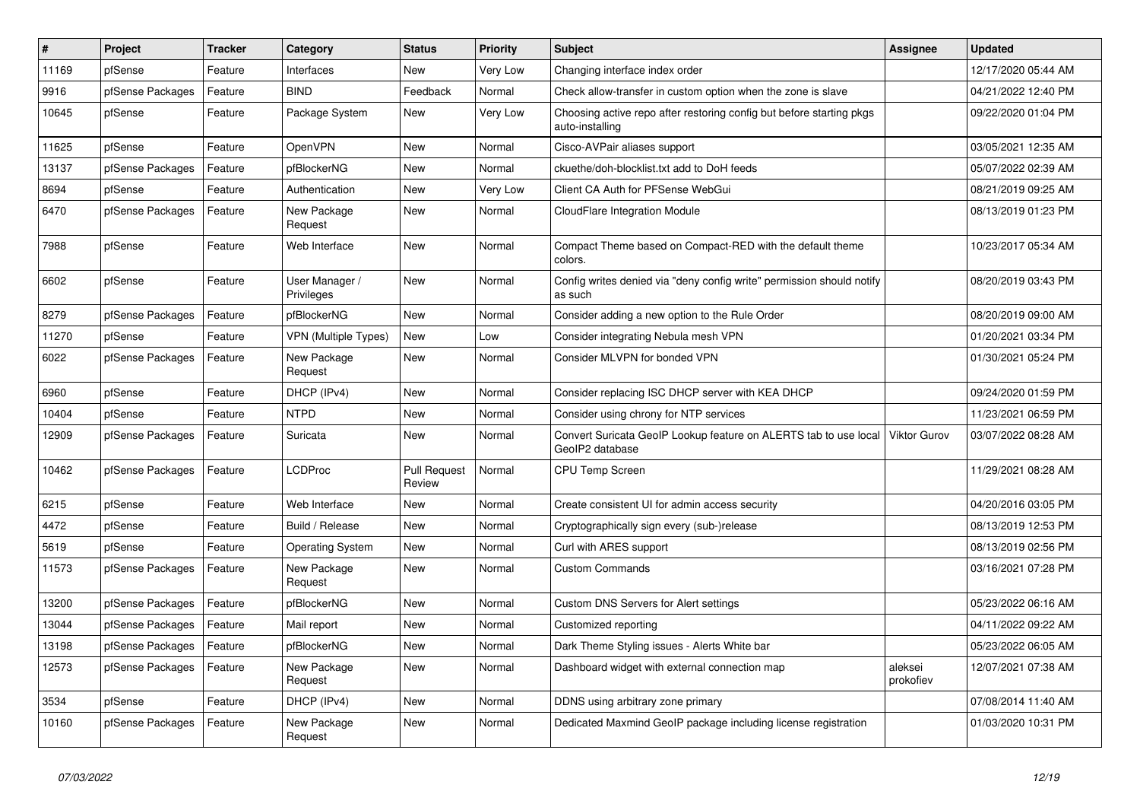| $\pmb{\#}$ | Project          | <b>Tracker</b> | Category                     | <b>Status</b>                 | <b>Priority</b> | <b>Subject</b>                                                                          | <b>Assignee</b>      | <b>Updated</b>      |
|------------|------------------|----------------|------------------------------|-------------------------------|-----------------|-----------------------------------------------------------------------------------------|----------------------|---------------------|
| 11169      | pfSense          | Feature        | Interfaces                   | <b>New</b>                    | Very Low        | Changing interface index order                                                          |                      | 12/17/2020 05:44 AM |
| 9916       | pfSense Packages | Feature        | <b>BIND</b>                  | Feedback                      | Normal          | Check allow-transfer in custom option when the zone is slave                            |                      | 04/21/2022 12:40 PM |
| 10645      | pfSense          | Feature        | Package System               | New                           | Very Low        | Choosing active repo after restoring config but before starting pkgs<br>auto-installing |                      | 09/22/2020 01:04 PM |
| 11625      | pfSense          | Feature        | OpenVPN                      | <b>New</b>                    | Normal          | Cisco-AVPair aliases support                                                            |                      | 03/05/2021 12:35 AM |
| 13137      | pfSense Packages | Feature        | pfBlockerNG                  | New                           | Normal          | ckuethe/doh-blocklist.txt add to DoH feeds                                              |                      | 05/07/2022 02:39 AM |
| 8694       | pfSense          | Feature        | Authentication               | <b>New</b>                    | Very Low        | Client CA Auth for PFSense WebGui                                                       |                      | 08/21/2019 09:25 AM |
| 6470       | pfSense Packages | Feature        | New Package<br>Request       | <b>New</b>                    | Normal          | CloudFlare Integration Module                                                           |                      | 08/13/2019 01:23 PM |
| 7988       | pfSense          | Feature        | Web Interface                | <b>New</b>                    | Normal          | Compact Theme based on Compact-RED with the default theme<br>colors.                    |                      | 10/23/2017 05:34 AM |
| 6602       | pfSense          | Feature        | User Manager /<br>Privileges | New                           | Normal          | Config writes denied via "deny config write" permission should notify<br>as such        |                      | 08/20/2019 03:43 PM |
| 8279       | pfSense Packages | Feature        | pfBlockerNG                  | <b>New</b>                    | Normal          | Consider adding a new option to the Rule Order                                          |                      | 08/20/2019 09:00 AM |
| 11270      | pfSense          | Feature        | <b>VPN (Multiple Types)</b>  | New                           | Low             | Consider integrating Nebula mesh VPN                                                    |                      | 01/20/2021 03:34 PM |
| 6022       | pfSense Packages | Feature        | New Package<br>Request       | New                           | Normal          | Consider MLVPN for bonded VPN                                                           |                      | 01/30/2021 05:24 PM |
| 6960       | pfSense          | Feature        | DHCP (IPv4)                  | <b>New</b>                    | Normal          | Consider replacing ISC DHCP server with KEA DHCP                                        |                      | 09/24/2020 01:59 PM |
| 10404      | pfSense          | Feature        | <b>NTPD</b>                  | <b>New</b>                    | Normal          | Consider using chrony for NTP services                                                  |                      | 11/23/2021 06:59 PM |
| 12909      | pfSense Packages | Feature        | Suricata                     | New                           | Normal          | Convert Suricata GeoIP Lookup feature on ALERTS tab to use local<br>GeoIP2 database     | Viktor Gurov         | 03/07/2022 08:28 AM |
| 10462      | pfSense Packages | Feature        | <b>LCDProc</b>               | <b>Pull Request</b><br>Review | Normal          | <b>CPU Temp Screen</b>                                                                  |                      | 11/29/2021 08:28 AM |
| 6215       | pfSense          | Feature        | Web Interface                | <b>New</b>                    | Normal          | Create consistent UI for admin access security                                          |                      | 04/20/2016 03:05 PM |
| 4472       | pfSense          | Feature        | Build / Release              | <b>New</b>                    | Normal          | Cryptographically sign every (sub-)release                                              |                      | 08/13/2019 12:53 PM |
| 5619       | pfSense          | Feature        | <b>Operating System</b>      | New                           | Normal          | Curl with ARES support                                                                  |                      | 08/13/2019 02:56 PM |
| 11573      | pfSense Packages | Feature        | New Package<br>Request       | New                           | Normal          | <b>Custom Commands</b>                                                                  |                      | 03/16/2021 07:28 PM |
| 13200      | pfSense Packages | Feature        | pfBlockerNG                  | <b>New</b>                    | Normal          | Custom DNS Servers for Alert settings                                                   |                      | 05/23/2022 06:16 AM |
| 13044      | pfSense Packages | Feature        | Mail report                  | <b>New</b>                    | Normal          | Customized reporting                                                                    |                      | 04/11/2022 09:22 AM |
| 13198      | pfSense Packages | Feature        | pfBlockerNG                  | <b>New</b>                    | Normal          | Dark Theme Styling issues - Alerts White bar                                            |                      | 05/23/2022 06:05 AM |
| 12573      | pfSense Packages | Feature        | New Package<br>Request       | <b>New</b>                    | Normal          | Dashboard widget with external connection map                                           | aleksei<br>prokofiev | 12/07/2021 07:38 AM |
| 3534       | pfSense          | Feature        | DHCP (IPv4)                  | <b>New</b>                    | Normal          | DDNS using arbitrary zone primary                                                       |                      | 07/08/2014 11:40 AM |
| 10160      | pfSense Packages | Feature        | New Package<br>Request       | <b>New</b>                    | Normal          | Dedicated Maxmind GeoIP package including license registration                          |                      | 01/03/2020 10:31 PM |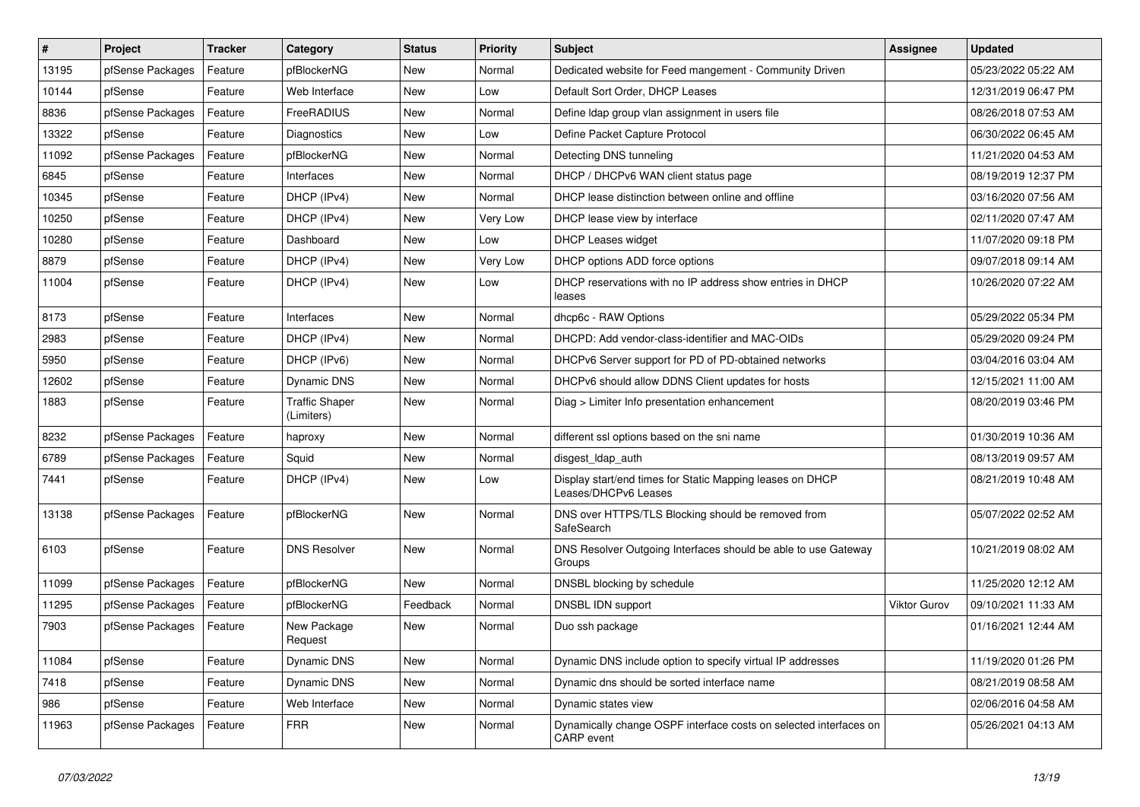| $\vert$ # | Project          | <b>Tracker</b> | Category                            | <b>Status</b> | <b>Priority</b> | Subject                                                                           | Assignee            | <b>Updated</b>      |
|-----------|------------------|----------------|-------------------------------------|---------------|-----------------|-----------------------------------------------------------------------------------|---------------------|---------------------|
| 13195     | pfSense Packages | Feature        | pfBlockerNG                         | New           | Normal          | Dedicated website for Feed mangement - Community Driven                           |                     | 05/23/2022 05:22 AM |
| 10144     | pfSense          | Feature        | Web Interface                       | New           | Low             | Default Sort Order, DHCP Leases                                                   |                     | 12/31/2019 06:47 PM |
| 8836      | pfSense Packages | Feature        | FreeRADIUS                          | New           | Normal          | Define Idap group vlan assignment in users file                                   |                     | 08/26/2018 07:53 AM |
| 13322     | pfSense          | Feature        | Diagnostics                         | New           | Low             | Define Packet Capture Protocol                                                    |                     | 06/30/2022 06:45 AM |
| 11092     | pfSense Packages | Feature        | pfBlockerNG                         | New           | Normal          | Detecting DNS tunneling                                                           |                     | 11/21/2020 04:53 AM |
| 6845      | pfSense          | Feature        | Interfaces                          | New           | Normal          | DHCP / DHCPv6 WAN client status page                                              |                     | 08/19/2019 12:37 PM |
| 10345     | pfSense          | Feature        | DHCP (IPv4)                         | New           | Normal          | DHCP lease distinction between online and offline                                 |                     | 03/16/2020 07:56 AM |
| 10250     | pfSense          | Feature        | DHCP (IPv4)                         | New           | Very Low        | DHCP lease view by interface                                                      |                     | 02/11/2020 07:47 AM |
| 10280     | pfSense          | Feature        | Dashboard                           | New           | Low             | <b>DHCP Leases widget</b>                                                         |                     | 11/07/2020 09:18 PM |
| 8879      | pfSense          | Feature        | DHCP (IPv4)                         | New           | Very Low        | DHCP options ADD force options                                                    |                     | 09/07/2018 09:14 AM |
| 11004     | pfSense          | Feature        | DHCP (IPv4)                         | New           | Low             | DHCP reservations with no IP address show entries in DHCP<br>leases               |                     | 10/26/2020 07:22 AM |
| 8173      | pfSense          | Feature        | Interfaces                          | New           | Normal          | dhcp6c - RAW Options                                                              |                     | 05/29/2022 05:34 PM |
| 2983      | pfSense          | Feature        | DHCP (IPv4)                         | New           | Normal          | DHCPD: Add vendor-class-identifier and MAC-OIDs                                   |                     | 05/29/2020 09:24 PM |
| 5950      | pfSense          | Feature        | DHCP (IPv6)                         | New           | Normal          | DHCPv6 Server support for PD of PD-obtained networks                              |                     | 03/04/2016 03:04 AM |
| 12602     | pfSense          | Feature        | Dynamic DNS                         | New           | Normal          | DHCPv6 should allow DDNS Client updates for hosts                                 |                     | 12/15/2021 11:00 AM |
| 1883      | pfSense          | Feature        | <b>Traffic Shaper</b><br>(Limiters) | New           | Normal          | Diag > Limiter Info presentation enhancement                                      |                     | 08/20/2019 03:46 PM |
| 8232      | pfSense Packages | Feature        | haproxy                             | New           | Normal          | different ssl options based on the sni name                                       |                     | 01/30/2019 10:36 AM |
| 6789      | pfSense Packages | Feature        | Squid                               | New           | Normal          | disgest_ldap_auth                                                                 |                     | 08/13/2019 09:57 AM |
| 7441      | pfSense          | Feature        | DHCP (IPv4)                         | New           | Low             | Display start/end times for Static Mapping leases on DHCP<br>Leases/DHCPv6 Leases |                     | 08/21/2019 10:48 AM |
| 13138     | pfSense Packages | Feature        | pfBlockerNG                         | New           | Normal          | DNS over HTTPS/TLS Blocking should be removed from<br>SafeSearch                  |                     | 05/07/2022 02:52 AM |
| 6103      | pfSense          | Feature        | <b>DNS Resolver</b>                 | New           | Normal          | DNS Resolver Outgoing Interfaces should be able to use Gateway<br>Groups          |                     | 10/21/2019 08:02 AM |
| 11099     | pfSense Packages | Feature        | pfBlockerNG                         | New           | Normal          | DNSBL blocking by schedule                                                        |                     | 11/25/2020 12:12 AM |
| 11295     | pfSense Packages | Feature        | pfBlockerNG                         | Feedback      | Normal          | DNSBL IDN support                                                                 | <b>Viktor Gurov</b> | 09/10/2021 11:33 AM |
| 7903      | pfSense Packages | Feature        | New Package<br>Request              | New           | Normal          | Duo ssh package                                                                   |                     | 01/16/2021 12:44 AM |
| 11084     | pfSense          | Feature        | Dynamic DNS                         | New           | Normal          | Dynamic DNS include option to specify virtual IP addresses                        |                     | 11/19/2020 01:26 PM |
| 7418      | pfSense          | Feature        | Dynamic DNS                         | New           | Normal          | Dynamic dns should be sorted interface name                                       |                     | 08/21/2019 08:58 AM |
| 986       | pfSense          | Feature        | Web Interface                       | New           | Normal          | Dynamic states view                                                               |                     | 02/06/2016 04:58 AM |
| 11963     | pfSense Packages | Feature        | <b>FRR</b>                          | New           | Normal          | Dynamically change OSPF interface costs on selected interfaces on<br>CARP event   |                     | 05/26/2021 04:13 AM |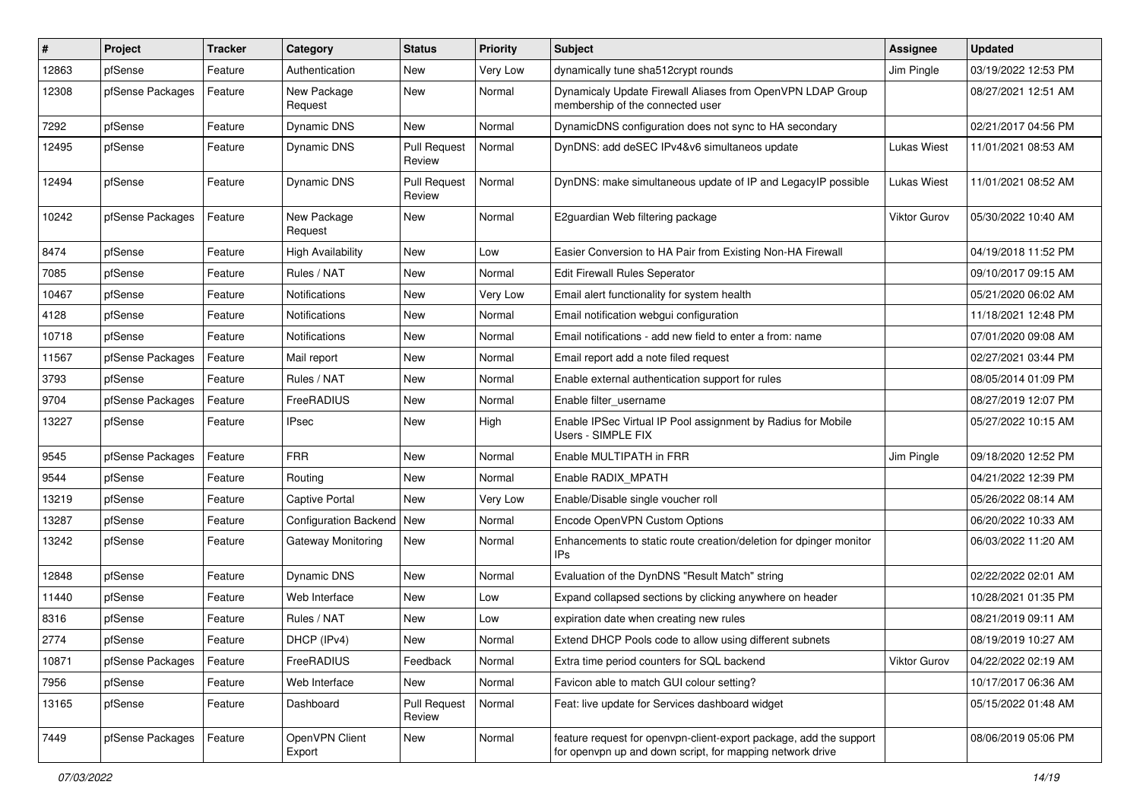| #     | Project          | <b>Tracker</b> | Category                     | <b>Status</b>                 | <b>Priority</b> | <b>Subject</b>                                                                                                                  | <b>Assignee</b>    | <b>Updated</b>      |
|-------|------------------|----------------|------------------------------|-------------------------------|-----------------|---------------------------------------------------------------------------------------------------------------------------------|--------------------|---------------------|
| 12863 | pfSense          | Feature        | Authentication               | New                           | Very Low        | dynamically tune sha512crypt rounds                                                                                             | Jim Pingle         | 03/19/2022 12:53 PM |
| 12308 | pfSense Packages | Feature        | New Package<br>Request       | New                           | Normal          | Dynamicaly Update Firewall Aliases from OpenVPN LDAP Group<br>membership of the connected user                                  |                    | 08/27/2021 12:51 AM |
| 7292  | pfSense          | Feature        | Dynamic DNS                  | <b>New</b>                    | Normal          | DynamicDNS configuration does not sync to HA secondary                                                                          |                    | 02/21/2017 04:56 PM |
| 12495 | pfSense          | Feature        | <b>Dynamic DNS</b>           | <b>Pull Request</b><br>Review | Normal          | DynDNS: add deSEC IPv4&v6 simultaneos update                                                                                    | <b>Lukas Wiest</b> | 11/01/2021 08:53 AM |
| 12494 | pfSense          | Feature        | <b>Dynamic DNS</b>           | <b>Pull Request</b><br>Review | Normal          | DynDNS: make simultaneous update of IP and LegacyIP possible                                                                    | <b>Lukas Wiest</b> | 11/01/2021 08:52 AM |
| 10242 | pfSense Packages | Feature        | New Package<br>Request       | New                           | Normal          | E2guardian Web filtering package                                                                                                | Viktor Gurov       | 05/30/2022 10:40 AM |
| 8474  | pfSense          | Feature        | <b>High Availability</b>     | New                           | Low             | Easier Conversion to HA Pair from Existing Non-HA Firewall                                                                      |                    | 04/19/2018 11:52 PM |
| 7085  | pfSense          | Feature        | Rules / NAT                  | New                           | Normal          | Edit Firewall Rules Seperator                                                                                                   |                    | 09/10/2017 09:15 AM |
| 10467 | pfSense          | Feature        | <b>Notifications</b>         | New                           | Very Low        | Email alert functionality for system health                                                                                     |                    | 05/21/2020 06:02 AM |
| 4128  | pfSense          | Feature        | <b>Notifications</b>         | New                           | Normal          | Email notification webgui configuration                                                                                         |                    | 11/18/2021 12:48 PM |
| 10718 | pfSense          | Feature        | Notifications                | New                           | Normal          | Email notifications - add new field to enter a from: name                                                                       |                    | 07/01/2020 09:08 AM |
| 11567 | pfSense Packages | Feature        | Mail report                  | New                           | Normal          | Email report add a note filed request                                                                                           |                    | 02/27/2021 03:44 PM |
| 3793  | pfSense          | Feature        | Rules / NAT                  | New                           | Normal          | Enable external authentication support for rules                                                                                |                    | 08/05/2014 01:09 PM |
| 9704  | pfSense Packages | Feature        | FreeRADIUS                   | New                           | Normal          | Enable filter username                                                                                                          |                    | 08/27/2019 12:07 PM |
| 13227 | pfSense          | Feature        | IPsec                        | New                           | High            | Enable IPSec Virtual IP Pool assignment by Radius for Mobile<br>Users - SIMPLE FIX                                              |                    | 05/27/2022 10:15 AM |
| 9545  | pfSense Packages | Feature        | <b>FRR</b>                   | <b>New</b>                    | Normal          | Enable MULTIPATH in FRR                                                                                                         | Jim Pingle         | 09/18/2020 12:52 PM |
| 9544  | pfSense          | Feature        | Routing                      | New                           | Normal          | Enable RADIX MPATH                                                                                                              |                    | 04/21/2022 12:39 PM |
| 13219 | pfSense          | Feature        | <b>Captive Portal</b>        | New                           | Very Low        | Enable/Disable single voucher roll                                                                                              |                    | 05/26/2022 08:14 AM |
| 13287 | pfSense          | Feature        | <b>Configuration Backend</b> | New                           | Normal          | Encode OpenVPN Custom Options                                                                                                   |                    | 06/20/2022 10:33 AM |
| 13242 | pfSense          | Feature        | Gateway Monitoring           | New                           | Normal          | Enhancements to static route creation/deletion for dpinger monitor<br>IP <sub>s</sub>                                           |                    | 06/03/2022 11:20 AM |
| 12848 | pfSense          | Feature        | Dynamic DNS                  | New                           | Normal          | Evaluation of the DynDNS "Result Match" string                                                                                  |                    | 02/22/2022 02:01 AM |
| 11440 | pfSense          | Feature        | Web Interface                | New                           | Low             | Expand collapsed sections by clicking anywhere on header                                                                        |                    | 10/28/2021 01:35 PM |
| 8316  | pfSense          | Feature        | Rules / NAT                  | New                           | Low             | expiration date when creating new rules                                                                                         |                    | 08/21/2019 09:11 AM |
| 2774  | pfSense          | Feature        | DHCP (IPv4)                  | New                           | Normal          | Extend DHCP Pools code to allow using different subnets                                                                         |                    | 08/19/2019 10:27 AM |
| 10871 | pfSense Packages | Feature        | FreeRADIUS                   | Feedback                      | Normal          | Extra time period counters for SQL backend                                                                                      | Viktor Gurov       | 04/22/2022 02:19 AM |
| 7956  | pfSense          | Feature        | Web Interface                | New                           | Normal          | Favicon able to match GUI colour setting?                                                                                       |                    | 10/17/2017 06:36 AM |
| 13165 | pfSense          | Feature        | Dashboard                    | <b>Pull Request</b><br>Review | Normal          | Feat: live update for Services dashboard widget                                                                                 |                    | 05/15/2022 01:48 AM |
| 7449  | pfSense Packages | Feature        | OpenVPN Client<br>Export     | New                           | Normal          | feature request for openvpn-client-export package, add the support<br>for openvpn up and down script, for mapping network drive |                    | 08/06/2019 05:06 PM |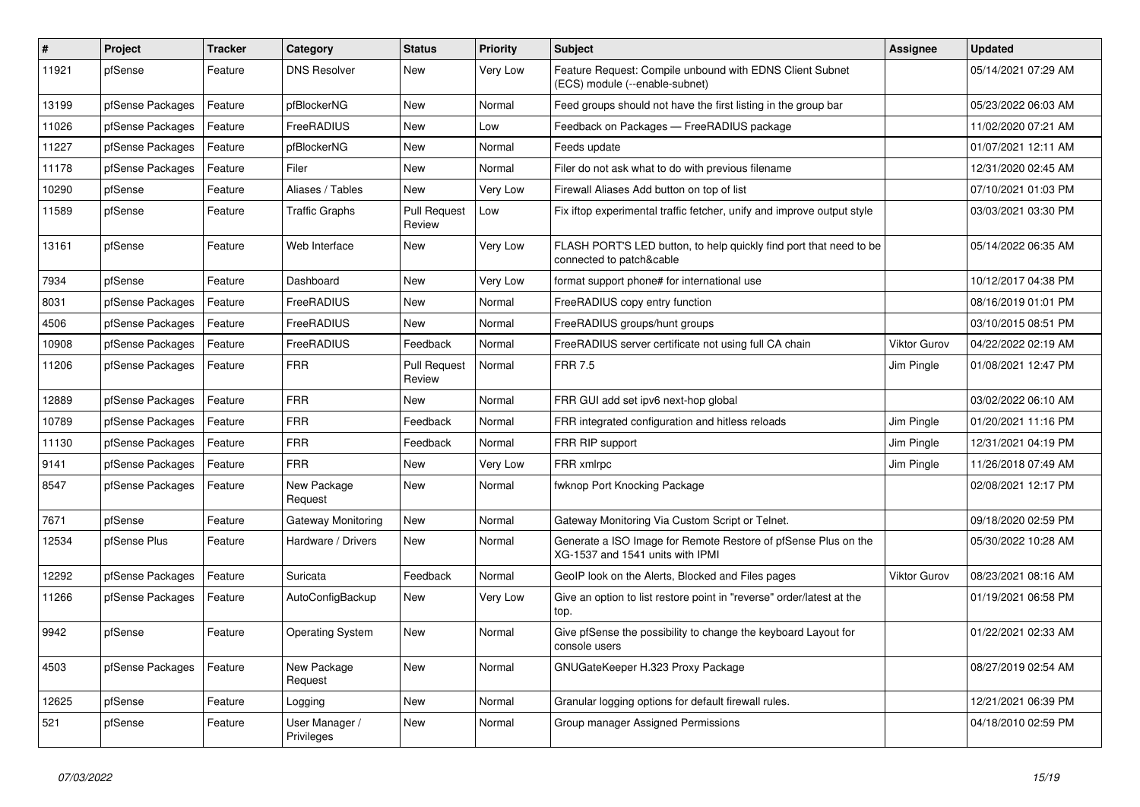| $\sharp$ | Project          | <b>Tracker</b> | Category                     | <b>Status</b>                 | <b>Priority</b> | Subject                                                                                            | <b>Assignee</b>     | <b>Updated</b>      |
|----------|------------------|----------------|------------------------------|-------------------------------|-----------------|----------------------------------------------------------------------------------------------------|---------------------|---------------------|
| 11921    | pfSense          | Feature        | <b>DNS Resolver</b>          | New                           | Very Low        | Feature Request: Compile unbound with EDNS Client Subnet<br>(ECS) module (--enable-subnet)         |                     | 05/14/2021 07:29 AM |
| 13199    | pfSense Packages | Feature        | pfBlockerNG                  | New                           | Normal          | Feed groups should not have the first listing in the group bar                                     |                     | 05/23/2022 06:03 AM |
| 11026    | pfSense Packages | Feature        | FreeRADIUS                   | New                           | Low             | Feedback on Packages - FreeRADIUS package                                                          |                     | 11/02/2020 07:21 AM |
| 11227    | pfSense Packages | Feature        | pfBlockerNG                  | New                           | Normal          | Feeds update                                                                                       |                     | 01/07/2021 12:11 AM |
| 11178    | pfSense Packages | Feature        | Filer                        | New                           | Normal          | Filer do not ask what to do with previous filename                                                 |                     | 12/31/2020 02:45 AM |
| 10290    | pfSense          | Feature        | Aliases / Tables             | New                           | Very Low        | Firewall Aliases Add button on top of list                                                         |                     | 07/10/2021 01:03 PM |
| 11589    | pfSense          | Feature        | <b>Traffic Graphs</b>        | <b>Pull Request</b><br>Review | Low             | Fix iftop experimental traffic fetcher, unify and improve output style                             |                     | 03/03/2021 03:30 PM |
| 13161    | pfSense          | Feature        | Web Interface                | New                           | Very Low        | FLASH PORT'S LED button, to help quickly find port that need to be<br>connected to patch&cable     |                     | 05/14/2022 06:35 AM |
| 7934     | pfSense          | Feature        | Dashboard                    | New                           | Very Low        | format support phone# for international use                                                        |                     | 10/12/2017 04:38 PM |
| 8031     | pfSense Packages | Feature        | FreeRADIUS                   | New                           | Normal          | FreeRADIUS copy entry function                                                                     |                     | 08/16/2019 01:01 PM |
| 4506     | pfSense Packages | Feature        | FreeRADIUS                   | New                           | Normal          | FreeRADIUS groups/hunt groups                                                                      |                     | 03/10/2015 08:51 PM |
| 10908    | pfSense Packages | Feature        | FreeRADIUS                   | Feedback                      | Normal          | FreeRADIUS server certificate not using full CA chain                                              | <b>Viktor Gurov</b> | 04/22/2022 02:19 AM |
| 11206    | pfSense Packages | Feature        | <b>FRR</b>                   | <b>Pull Request</b><br>Review | Normal          | <b>FRR 7.5</b>                                                                                     | Jim Pingle          | 01/08/2021 12:47 PM |
| 12889    | pfSense Packages | Feature        | <b>FRR</b>                   | New                           | Normal          | FRR GUI add set ipv6 next-hop global                                                               |                     | 03/02/2022 06:10 AM |
| 10789    | pfSense Packages | Feature        | <b>FRR</b>                   | Feedback                      | Normal          | FRR integrated configuration and hitless reloads                                                   | Jim Pingle          | 01/20/2021 11:16 PM |
| 11130    | pfSense Packages | Feature        | <b>FRR</b>                   | Feedback                      | Normal          | FRR RIP support                                                                                    | Jim Pingle          | 12/31/2021 04:19 PM |
| 9141     | pfSense Packages | Feature        | <b>FRR</b>                   | <b>New</b>                    | Very Low        | FRR xmlrpc                                                                                         | Jim Pingle          | 11/26/2018 07:49 AM |
| 8547     | pfSense Packages | Feature        | New Package<br>Request       | New                           | Normal          | fwknop Port Knocking Package                                                                       |                     | 02/08/2021 12:17 PM |
| 7671     | pfSense          | Feature        | <b>Gateway Monitoring</b>    | <b>New</b>                    | Normal          | Gateway Monitoring Via Custom Script or Telnet.                                                    |                     | 09/18/2020 02:59 PM |
| 12534    | pfSense Plus     | Feature        | Hardware / Drivers           | New                           | Normal          | Generate a ISO Image for Remote Restore of pfSense Plus on the<br>XG-1537 and 1541 units with IPMI |                     | 05/30/2022 10:28 AM |
| 12292    | pfSense Packages | Feature        | Suricata                     | Feedback                      | Normal          | GeoIP look on the Alerts, Blocked and Files pages                                                  | Viktor Gurov        | 08/23/2021 08:16 AM |
| 11266    | pfSense Packages | Feature        | AutoConfigBackup             | New                           | Very Low        | Give an option to list restore point in "reverse" order/latest at the<br>top.                      |                     | 01/19/2021 06:58 PM |
| 9942     | pfSense          | Feature        | <b>Operating System</b>      | New                           | Normal          | Give pfSense the possibility to change the keyboard Layout for<br>console users                    |                     | 01/22/2021 02:33 AM |
| 4503     | pfSense Packages | Feature        | New Package<br>Request       | New                           | Normal          | GNUGateKeeper H.323 Proxy Package                                                                  |                     | 08/27/2019 02:54 AM |
| 12625    | pfSense          | Feature        | Logging                      | New                           | Normal          | Granular logging options for default firewall rules.                                               |                     | 12/21/2021 06:39 PM |
| 521      | pfSense          | Feature        | User Manager /<br>Privileges | New                           | Normal          | Group manager Assigned Permissions                                                                 |                     | 04/18/2010 02:59 PM |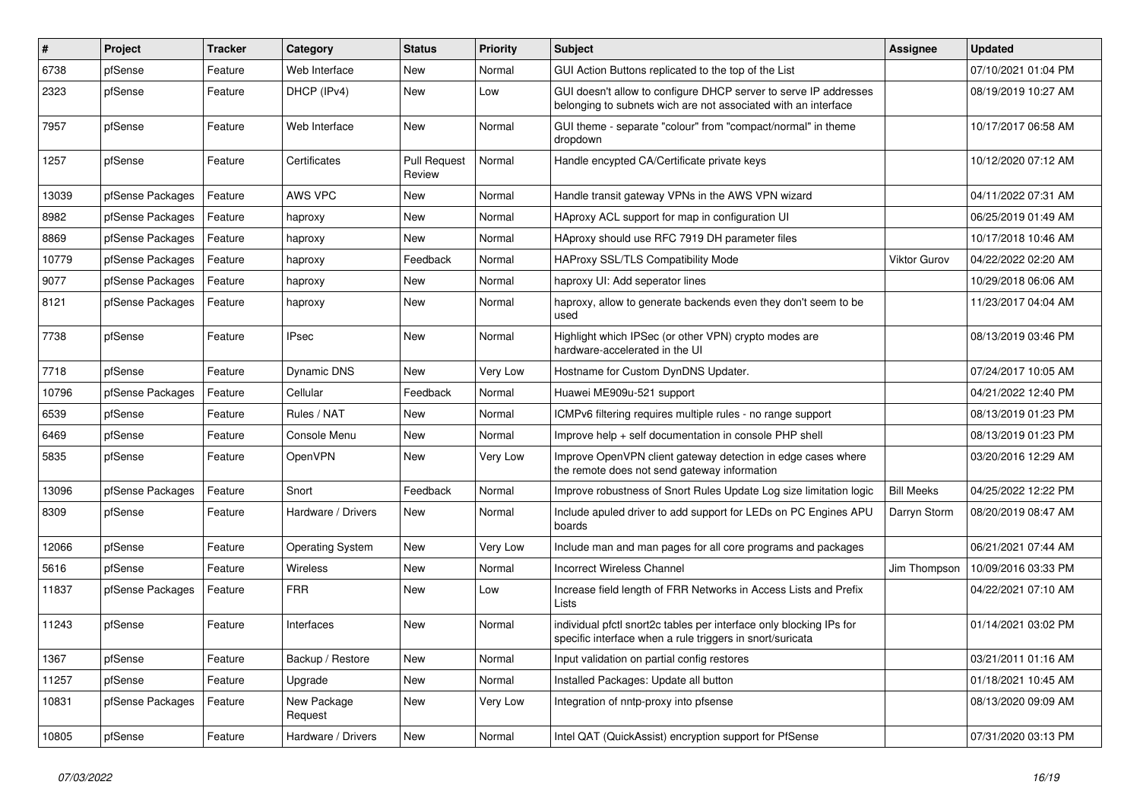| $\pmb{\#}$ | Project          | <b>Tracker</b> | Category                | <b>Status</b>                 | <b>Priority</b> | Subject                                                                                                                            | <b>Assignee</b>     | <b>Updated</b>      |
|------------|------------------|----------------|-------------------------|-------------------------------|-----------------|------------------------------------------------------------------------------------------------------------------------------------|---------------------|---------------------|
| 6738       | pfSense          | Feature        | Web Interface           | New                           | Normal          | GUI Action Buttons replicated to the top of the List                                                                               |                     | 07/10/2021 01:04 PM |
| 2323       | pfSense          | Feature        | DHCP (IPv4)             | New                           | Low             | GUI doesn't allow to configure DHCP server to serve IP addresses<br>belonging to subnets wich are not associated with an interface |                     | 08/19/2019 10:27 AM |
| 7957       | pfSense          | Feature        | Web Interface           | New                           | Normal          | GUI theme - separate "colour" from "compact/normal" in theme<br>dropdown                                                           |                     | 10/17/2017 06:58 AM |
| 1257       | pfSense          | Feature        | Certificates            | <b>Pull Request</b><br>Review | Normal          | Handle encypted CA/Certificate private keys                                                                                        |                     | 10/12/2020 07:12 AM |
| 13039      | pfSense Packages | Feature        | AWS VPC                 | New                           | Normal          | Handle transit gateway VPNs in the AWS VPN wizard                                                                                  |                     | 04/11/2022 07:31 AM |
| 8982       | pfSense Packages | Feature        | haproxy                 | New                           | Normal          | HAproxy ACL support for map in configuration UI                                                                                    |                     | 06/25/2019 01:49 AM |
| 8869       | pfSense Packages | Feature        | haproxy                 | New                           | Normal          | HAproxy should use RFC 7919 DH parameter files                                                                                     |                     | 10/17/2018 10:46 AM |
| 10779      | pfSense Packages | Feature        | haproxy                 | Feedback                      | Normal          | HAProxy SSL/TLS Compatibility Mode                                                                                                 | <b>Viktor Gurov</b> | 04/22/2022 02:20 AM |
| 9077       | pfSense Packages | Feature        | haproxy                 | New                           | Normal          | haproxy UI: Add seperator lines                                                                                                    |                     | 10/29/2018 06:06 AM |
| 8121       | pfSense Packages | Feature        | haproxy                 | New                           | Normal          | haproxy, allow to generate backends even they don't seem to be<br>used                                                             |                     | 11/23/2017 04:04 AM |
| 7738       | pfSense          | Feature        | <b>IPsec</b>            | New                           | Normal          | Highlight which IPSec (or other VPN) crypto modes are<br>hardware-accelerated in the UI                                            |                     | 08/13/2019 03:46 PM |
| 7718       | pfSense          | Feature        | Dynamic DNS             | New                           | Very Low        | Hostname for Custom DynDNS Updater.                                                                                                |                     | 07/24/2017 10:05 AM |
| 10796      | pfSense Packages | Feature        | Cellular                | Feedback                      | Normal          | Huawei ME909u-521 support                                                                                                          |                     | 04/21/2022 12:40 PM |
| 6539       | pfSense          | Feature        | Rules / NAT             | New                           | Normal          | ICMPv6 filtering requires multiple rules - no range support                                                                        |                     | 08/13/2019 01:23 PM |
| 6469       | pfSense          | Feature        | Console Menu            | New                           | Normal          | Improve help + self documentation in console PHP shell                                                                             |                     | 08/13/2019 01:23 PM |
| 5835       | pfSense          | Feature        | OpenVPN                 | New                           | Very Low        | Improve OpenVPN client gateway detection in edge cases where<br>the remote does not send gateway information                       |                     | 03/20/2016 12:29 AM |
| 13096      | pfSense Packages | Feature        | Snort                   | Feedback                      | Normal          | Improve robustness of Snort Rules Update Log size limitation logic                                                                 | <b>Bill Meeks</b>   | 04/25/2022 12:22 PM |
| 8309       | pfSense          | Feature        | Hardware / Drivers      | New                           | Normal          | Include apuled driver to add support for LEDs on PC Engines APU<br>boards                                                          | Darryn Storm        | 08/20/2019 08:47 AM |
| 12066      | pfSense          | Feature        | <b>Operating System</b> | New                           | Very Low        | Include man and man pages for all core programs and packages                                                                       |                     | 06/21/2021 07:44 AM |
| 5616       | pfSense          | Feature        | <b>Wireless</b>         | New                           | Normal          | <b>Incorrect Wireless Channel</b>                                                                                                  | Jim Thompson        | 10/09/2016 03:33 PM |
| 11837      | pfSense Packages | Feature        | <b>FRR</b>              | New                           | Low             | Increase field length of FRR Networks in Access Lists and Prefix<br>Lists                                                          |                     | 04/22/2021 07:10 AM |
| 11243      | pfSense          | Feature        | Interfaces              | New                           | Normal          | individual pfctl snort2c tables per interface only blocking IPs for<br>specific interface when a rule triggers in snort/suricata   |                     | 01/14/2021 03:02 PM |
| 1367       | pfSense          | Feature        | Backup / Restore        | New                           | Normal          | Input validation on partial config restores                                                                                        |                     | 03/21/2011 01:16 AM |
| 11257      | pfSense          | Feature        | Upgrade                 | New                           | Normal          | Installed Packages: Update all button                                                                                              |                     | 01/18/2021 10:45 AM |
| 10831      | pfSense Packages | Feature        | New Package<br>Request  | New                           | Very Low        | Integration of nntp-proxy into pfsense                                                                                             |                     | 08/13/2020 09:09 AM |
| 10805      | pfSense          | Feature        | Hardware / Drivers      | New                           | Normal          | Intel QAT (QuickAssist) encryption support for PfSense                                                                             |                     | 07/31/2020 03:13 PM |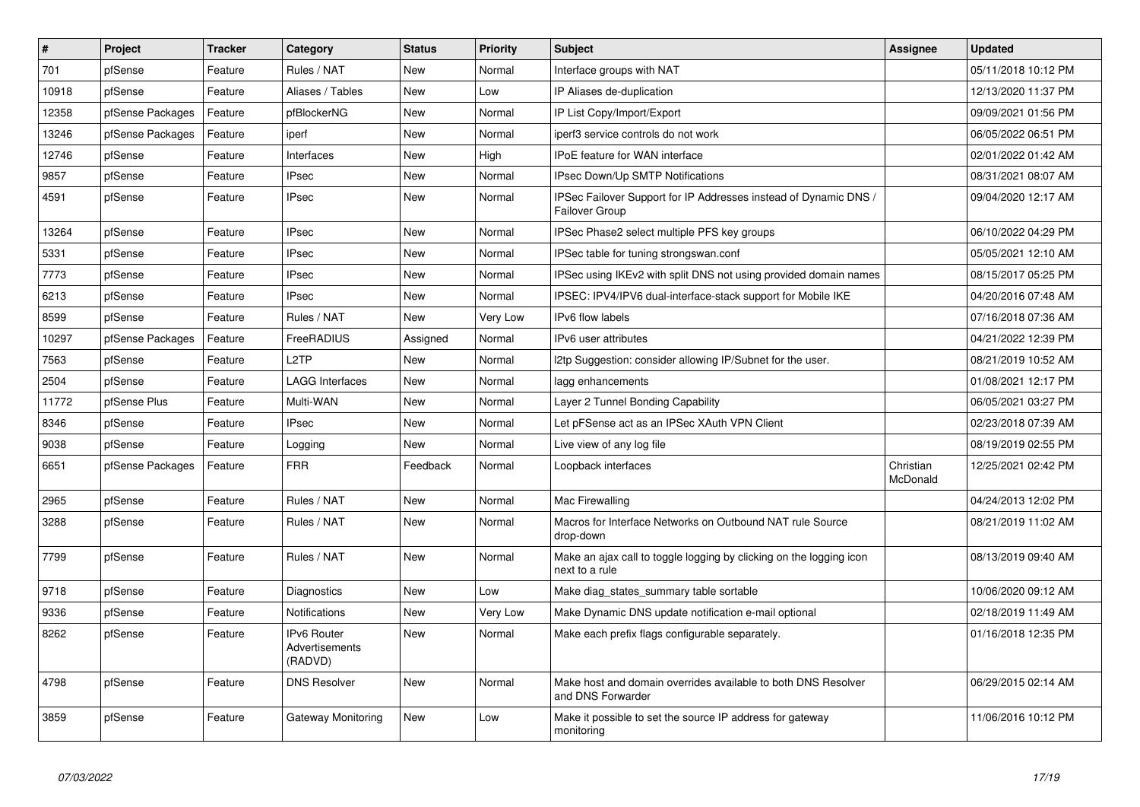| $\vert$ # | <b>Project</b>   | <b>Tracker</b> | Category                                        | <b>Status</b> | Priority | <b>Subject</b>                                                                        | Assignee              | <b>Updated</b>      |
|-----------|------------------|----------------|-------------------------------------------------|---------------|----------|---------------------------------------------------------------------------------------|-----------------------|---------------------|
| 701       | pfSense          | Feature        | Rules / NAT                                     | <b>New</b>    | Normal   | Interface groups with NAT                                                             |                       | 05/11/2018 10:12 PM |
| 10918     | pfSense          | Feature        | Aliases / Tables                                | <b>New</b>    | Low      | IP Aliases de-duplication                                                             |                       | 12/13/2020 11:37 PM |
| 12358     | pfSense Packages | Feature        | pfBlockerNG                                     | New           | Normal   | IP List Copy/Import/Export                                                            |                       | 09/09/2021 01:56 PM |
| 13246     | pfSense Packages | Feature        | iperf                                           | <b>New</b>    | Normal   | iperf3 service controls do not work                                                   |                       | 06/05/2022 06:51 PM |
| 12746     | pfSense          | Feature        | Interfaces                                      | New           | High     | IPoE feature for WAN interface                                                        |                       | 02/01/2022 01:42 AM |
| 9857      | pfSense          | Feature        | <b>IPsec</b>                                    | <b>New</b>    | Normal   | <b>IPsec Down/Up SMTP Notifications</b>                                               |                       | 08/31/2021 08:07 AM |
| 4591      | pfSense          | Feature        | <b>IPsec</b>                                    | New           | Normal   | PSec Failover Support for IP Addresses instead of Dynamic DNS /<br>Failover Group     |                       | 09/04/2020 12:17 AM |
| 13264     | pfSense          | Feature        | <b>IPsec</b>                                    | <b>New</b>    | Normal   | IPSec Phase2 select multiple PFS key groups                                           |                       | 06/10/2022 04:29 PM |
| 5331      | pfSense          | Feature        | <b>IPsec</b>                                    | New           | Normal   | IPSec table for tuning strongswan.conf                                                |                       | 05/05/2021 12:10 AM |
| 7773      | pfSense          | Feature        | <b>IPsec</b>                                    | New           | Normal   | IPSec using IKEv2 with split DNS not using provided domain names                      |                       | 08/15/2017 05:25 PM |
| 6213      | pfSense          | Feature        | <b>IPsec</b>                                    | <b>New</b>    | Normal   | IPSEC: IPV4/IPV6 dual-interface-stack support for Mobile IKE                          |                       | 04/20/2016 07:48 AM |
| 8599      | pfSense          | Feature        | Rules / NAT                                     | <b>New</b>    | Very Low | IPv6 flow labels                                                                      |                       | 07/16/2018 07:36 AM |
| 10297     | pfSense Packages | Feature        | FreeRADIUS                                      | Assigned      | Normal   | IPv6 user attributes                                                                  |                       | 04/21/2022 12:39 PM |
| 7563      | pfSense          | Feature        | L <sub>2</sub> TP                               | New           | Normal   | I2tp Suggestion: consider allowing IP/Subnet for the user.                            |                       | 08/21/2019 10:52 AM |
| 2504      | pfSense          | Feature        | <b>LAGG Interfaces</b>                          | <b>New</b>    | Normal   | lagg enhancements                                                                     |                       | 01/08/2021 12:17 PM |
| 11772     | pfSense Plus     | Feature        | Multi-WAN                                       | <b>New</b>    | Normal   | Layer 2 Tunnel Bonding Capability                                                     |                       | 06/05/2021 03:27 PM |
| 8346      | pfSense          | Feature        | <b>IPsec</b>                                    | New           | Normal   | Let pFSense act as an IPSec XAuth VPN Client                                          |                       | 02/23/2018 07:39 AM |
| 9038      | pfSense          | Feature        | Logging                                         | <b>New</b>    | Normal   | Live view of any log file                                                             |                       | 08/19/2019 02:55 PM |
| 6651      | pfSense Packages | Feature        | <b>FRR</b>                                      | Feedback      | Normal   | Loopback interfaces                                                                   | Christian<br>McDonald | 12/25/2021 02:42 PM |
| 2965      | pfSense          | Feature        | Rules / NAT                                     | New           | Normal   | Mac Firewalling                                                                       |                       | 04/24/2013 12:02 PM |
| 3288      | pfSense          | Feature        | Rules / NAT                                     | <b>New</b>    | Normal   | Macros for Interface Networks on Outbound NAT rule Source<br>drop-down                |                       | 08/21/2019 11:02 AM |
| 7799      | pfSense          | Feature        | Rules / NAT                                     | <b>New</b>    | Normal   | Make an ajax call to toggle logging by clicking on the logging icon<br>next to a rule |                       | 08/13/2019 09:40 AM |
| 9718      | pfSense          | Feature        | Diagnostics                                     | <b>New</b>    | Low      | Make diag_states_summary table sortable                                               |                       | 10/06/2020 09:12 AM |
| 9336      | pfSense          | Feature        | <b>Notifications</b>                            | New           | Very Low | Make Dynamic DNS update notification e-mail optional                                  |                       | 02/18/2019 11:49 AM |
| 8262      | pfSense          | Feature        | <b>IPv6 Router</b><br>Advertisements<br>(RADVD) | <b>New</b>    | Normal   | Make each prefix flags configurable separately.                                       |                       | 01/16/2018 12:35 PM |
| 4798      | pfSense          | Feature        | <b>DNS Resolver</b>                             | New           | Normal   | Make host and domain overrides available to both DNS Resolver<br>and DNS Forwarder    |                       | 06/29/2015 02:14 AM |
| 3859      | pfSense          | Feature        | Gateway Monitoring                              | <b>New</b>    | Low      | Make it possible to set the source IP address for gateway<br>monitoring               |                       | 11/06/2016 10:12 PM |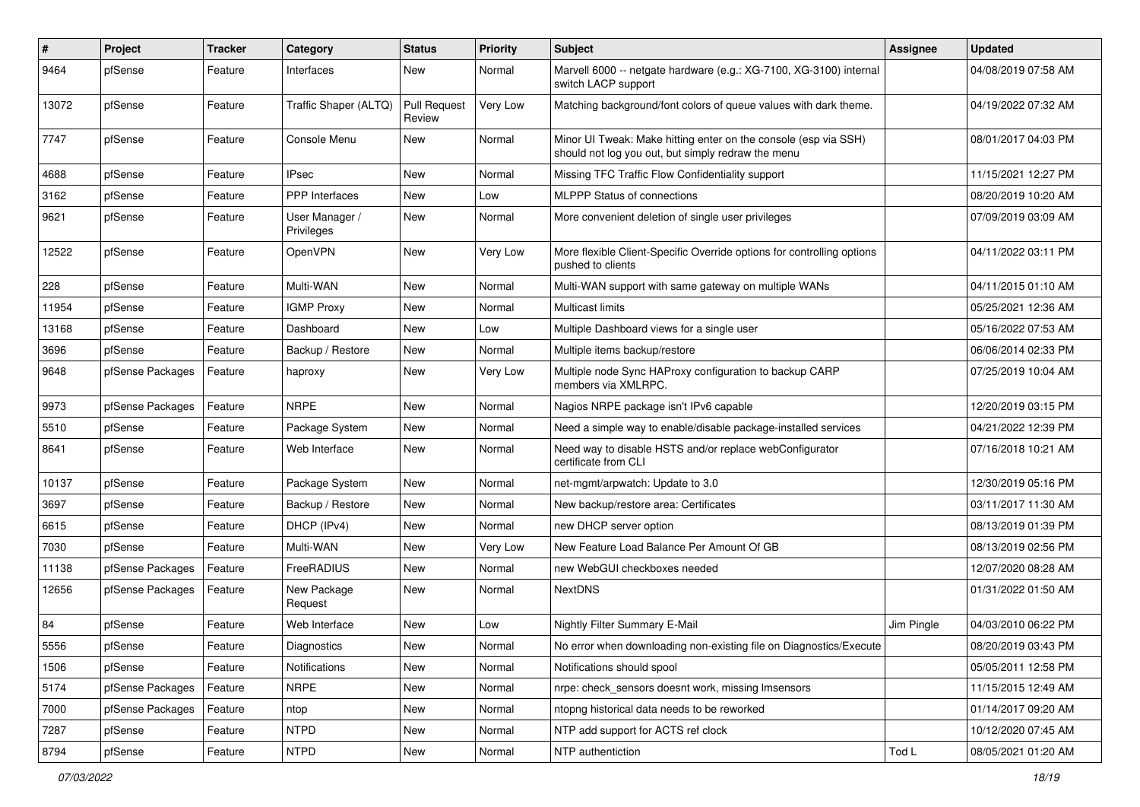| $\pmb{\#}$ | Project          | <b>Tracker</b> | Category                     | <b>Status</b>                 | <b>Priority</b> | <b>Subject</b>                                                                                                        | <b>Assignee</b> | <b>Updated</b>      |
|------------|------------------|----------------|------------------------------|-------------------------------|-----------------|-----------------------------------------------------------------------------------------------------------------------|-----------------|---------------------|
| 9464       | pfSense          | Feature        | Interfaces                   | New                           | Normal          | Marvell 6000 -- netgate hardware (e.g.: XG-7100, XG-3100) internal<br>switch LACP support                             |                 | 04/08/2019 07:58 AM |
| 13072      | pfSense          | Feature        | Traffic Shaper (ALTQ)        | <b>Pull Request</b><br>Review | Very Low        | Matching background/font colors of queue values with dark theme.                                                      |                 | 04/19/2022 07:32 AM |
| 7747       | pfSense          | Feature        | Console Menu                 | New                           | Normal          | Minor UI Tweak: Make hitting enter on the console (esp via SSH)<br>should not log you out, but simply redraw the menu |                 | 08/01/2017 04:03 PM |
| 4688       | pfSense          | Feature        | <b>IPsec</b>                 | New                           | Normal          | Missing TFC Traffic Flow Confidentiality support                                                                      |                 | 11/15/2021 12:27 PM |
| 3162       | pfSense          | Feature        | PPP Interfaces               | New                           | Low             | <b>MLPPP Status of connections</b>                                                                                    |                 | 08/20/2019 10:20 AM |
| 9621       | pfSense          | Feature        | User Manager /<br>Privileges | New                           | Normal          | More convenient deletion of single user privileges                                                                    |                 | 07/09/2019 03:09 AM |
| 12522      | pfSense          | Feature        | OpenVPN                      | New                           | Very Low        | More flexible Client-Specific Override options for controlling options<br>pushed to clients                           |                 | 04/11/2022 03:11 PM |
| 228        | pfSense          | Feature        | Multi-WAN                    | New                           | Normal          | Multi-WAN support with same gateway on multiple WANs                                                                  |                 | 04/11/2015 01:10 AM |
| 11954      | pfSense          | Feature        | <b>IGMP Proxy</b>            | New                           | Normal          | Multicast limits                                                                                                      |                 | 05/25/2021 12:36 AM |
| 13168      | pfSense          | Feature        | Dashboard                    | New                           | Low             | Multiple Dashboard views for a single user                                                                            |                 | 05/16/2022 07:53 AM |
| 3696       | pfSense          | Feature        | Backup / Restore             | New                           | Normal          | Multiple items backup/restore                                                                                         |                 | 06/06/2014 02:33 PM |
| 9648       | pfSense Packages | Feature        | haproxy                      | New                           | Very Low        | Multiple node Sync HAProxy configuration to backup CARP<br>members via XMLRPC.                                        |                 | 07/25/2019 10:04 AM |
| 9973       | pfSense Packages | Feature        | <b>NRPE</b>                  | New                           | Normal          | Nagios NRPE package isn't IPv6 capable                                                                                |                 | 12/20/2019 03:15 PM |
| 5510       | pfSense          | Feature        | Package System               | New                           | Normal          | Need a simple way to enable/disable package-installed services                                                        |                 | 04/21/2022 12:39 PM |
| 8641       | pfSense          | Feature        | Web Interface                | New                           | Normal          | Need way to disable HSTS and/or replace webConfigurator<br>certificate from CLI                                       |                 | 07/16/2018 10:21 AM |
| 10137      | pfSense          | Feature        | Package System               | New                           | Normal          | net-mgmt/arpwatch: Update to 3.0                                                                                      |                 | 12/30/2019 05:16 PM |
| 3697       | pfSense          | Feature        | Backup / Restore             | New                           | Normal          | New backup/restore area: Certificates                                                                                 |                 | 03/11/2017 11:30 AM |
| 6615       | pfSense          | Feature        | DHCP (IPv4)                  | New                           | Normal          | new DHCP server option                                                                                                |                 | 08/13/2019 01:39 PM |
| 7030       | pfSense          | Feature        | Multi-WAN                    | New                           | Very Low        | New Feature Load Balance Per Amount Of GB                                                                             |                 | 08/13/2019 02:56 PM |
| 11138      | pfSense Packages | Feature        | FreeRADIUS                   | New                           | Normal          | new WebGUI checkboxes needed                                                                                          |                 | 12/07/2020 08:28 AM |
| 12656      | pfSense Packages | Feature        | New Package<br>Request       | New                           | Normal          | NextDNS                                                                                                               |                 | 01/31/2022 01:50 AM |
| 84         | pfSense          | Feature        | Web Interface                | New                           | Low             | Nightly Filter Summary E-Mail                                                                                         | Jim Pingle      | 04/03/2010 06:22 PM |
| 5556       | pfSense          | Feature        | Diagnostics                  | New                           | Normal          | No error when downloading non-existing file on Diagnostics/Execute                                                    |                 | 08/20/2019 03:43 PM |
| 1506       | pfSense          | Feature        | Notifications                | New                           | Normal          | Notifications should spool                                                                                            |                 | 05/05/2011 12:58 PM |
| 5174       | pfSense Packages | Feature        | <b>NRPE</b>                  | New                           | Normal          | nrpe: check sensors doesnt work, missing Imsensors                                                                    |                 | 11/15/2015 12:49 AM |
| 7000       | pfSense Packages | Feature        | ntop                         | New                           | Normal          | ntopng historical data needs to be reworked                                                                           |                 | 01/14/2017 09:20 AM |
| 7287       | pfSense          | Feature        | <b>NTPD</b>                  | New                           | Normal          | NTP add support for ACTS ref clock                                                                                    |                 | 10/12/2020 07:45 AM |
| 8794       | pfSense          | Feature        | <b>NTPD</b>                  | New                           | Normal          | NTP authentiction                                                                                                     | Tod L           | 08/05/2021 01:20 AM |